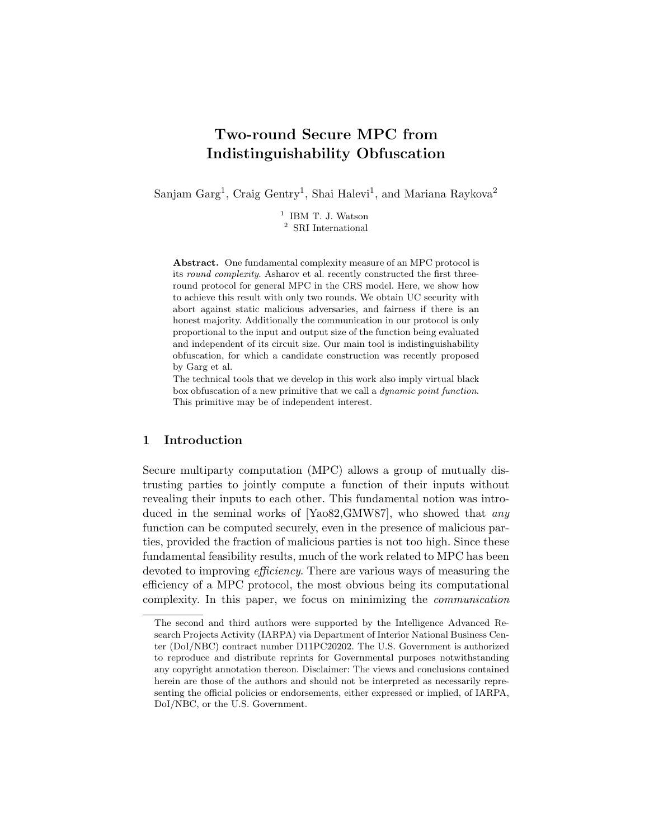# Two-round Secure MPC from Indistinguishability Obfuscation

Sanjam Garg<sup>1</sup>, Craig Gentry<sup>1</sup>, Shai Halevi<sup>1</sup>, and Mariana Raykova<sup>2</sup>

<sup>1</sup> IBM T. J. Watson <sup>2</sup> SRI International

Abstract. One fundamental complexity measure of an MPC protocol is its round complexity. Asharov et al. recently constructed the first threeround protocol for general MPC in the CRS model. Here, we show how to achieve this result with only two rounds. We obtain UC security with abort against static malicious adversaries, and fairness if there is an honest majority. Additionally the communication in our protocol is only proportional to the input and output size of the function being evaluated and independent of its circuit size. Our main tool is indistinguishability obfuscation, for which a candidate construction was recently proposed by Garg et al.

The technical tools that we develop in this work also imply virtual black box obfuscation of a new primitive that we call a dynamic point function. This primitive may be of independent interest.

# 1 Introduction

Secure multiparty computation (MPC) allows a group of mutually distrusting parties to jointly compute a function of their inputs without revealing their inputs to each other. This fundamental notion was introduced in the seminal works of [Yao82,GMW87], who showed that *any* function can be computed securely, even in the presence of malicious parties, provided the fraction of malicious parties is not too high. Since these fundamental feasibility results, much of the work related to MPC has been devoted to improving *efficiency*. There are various ways of measuring the efficiency of a MPC protocol, the most obvious being its computational complexity. In this paper, we focus on minimizing the communication

The second and third authors were supported by the Intelligence Advanced Research Projects Activity (IARPA) via Department of Interior National Business Center (DoI/NBC) contract number D11PC20202. The U.S. Government is authorized to reproduce and distribute reprints for Governmental purposes notwithstanding any copyright annotation thereon. Disclaimer: The views and conclusions contained herein are those of the authors and should not be interpreted as necessarily representing the official policies or endorsements, either expressed or implied, of IARPA, DoI/NBC, or the U.S. Government.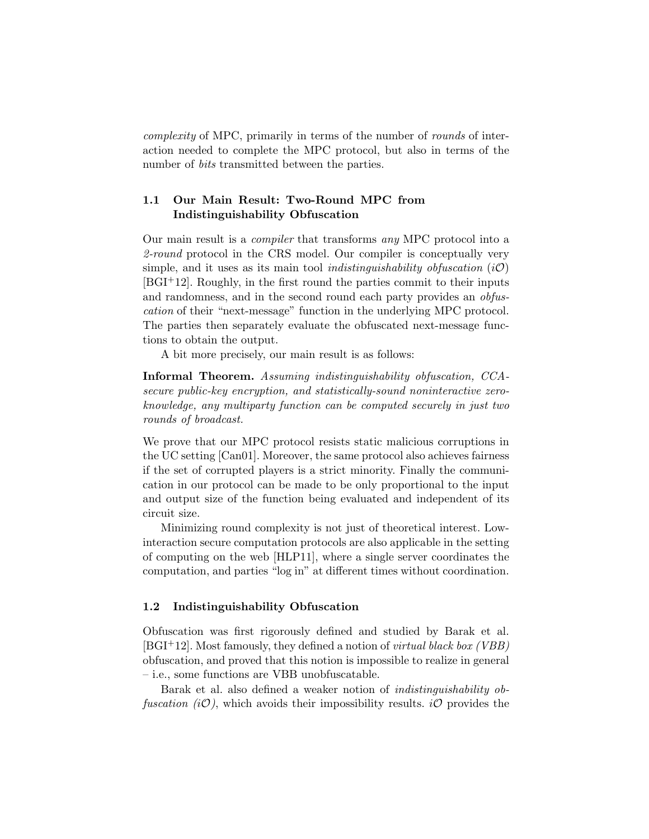complexity of MPC, primarily in terms of the number of rounds of interaction needed to complete the MPC protocol, but also in terms of the number of *bits* transmitted between the parties.

# 1.1 Our Main Result: Two-Round MPC from Indistinguishability Obfuscation

Our main result is a compiler that transforms any MPC protocol into a 2-round protocol in the CRS model. Our compiler is conceptually very simple, and it uses as its main tool *indistinguishability obfuscation*  $(i\mathcal{O})$  $[BGI<sup>+</sup>12]$ . Roughly, in the first round the parties commit to their inputs and randomness, and in the second round each party provides an obfuscation of their "next-message" function in the underlying MPC protocol. The parties then separately evaluate the obfuscated next-message functions to obtain the output.

A bit more precisely, our main result is as follows:

Informal Theorem. Assuming indistinguishability obfuscation, CCAsecure public-key encryption, and statistically-sound noninteractive zeroknowledge, any multiparty function can be computed securely in just two rounds of broadcast.

We prove that our MPC protocol resists static malicious corruptions in the UC setting [Can01]. Moreover, the same protocol also achieves fairness if the set of corrupted players is a strict minority. Finally the communication in our protocol can be made to be only proportional to the input and output size of the function being evaluated and independent of its circuit size.

Minimizing round complexity is not just of theoretical interest. Lowinteraction secure computation protocols are also applicable in the setting of computing on the web [HLP11], where a single server coordinates the computation, and parties "log in" at different times without coordination.

#### 1.2 Indistinguishability Obfuscation

Obfuscation was first rigorously defined and studied by Barak et al.  $[BGI^+12]$ . Most famously, they defined a notion of *virtual black box* (*VBB*) obfuscation, and proved that this notion is impossible to realize in general – i.e., some functions are VBB unobfuscatable.

Barak et al. also defined a weaker notion of indistinguishability obfuscation (iO), which avoids their impossibility results. iO provides the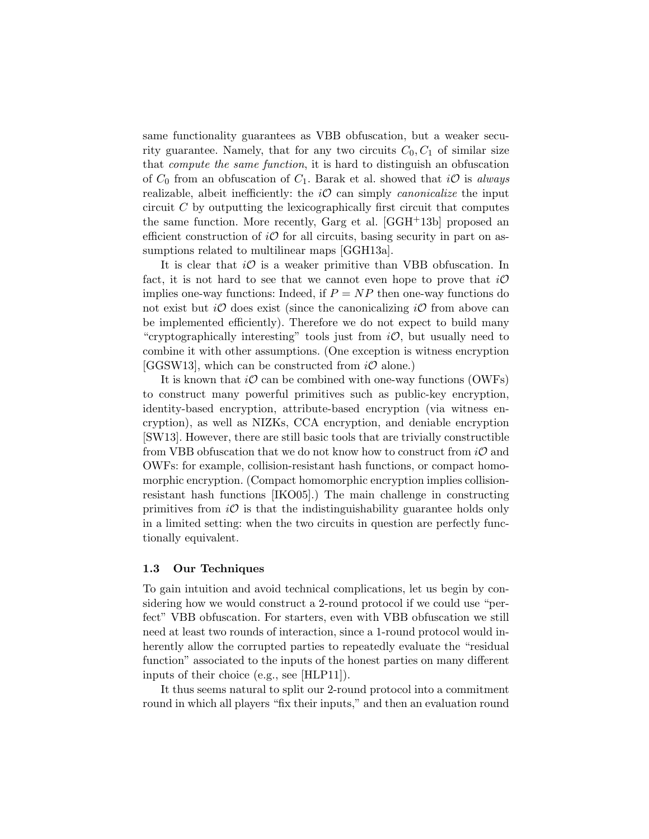same functionality guarantees as VBB obfuscation, but a weaker security guarantee. Namely, that for any two circuits  $C_0, C_1$  of similar size that compute the same function, it is hard to distinguish an obfuscation of  $C_0$  from an obfuscation of  $C_1$ . Barak et al. showed that  $i\mathcal{O}$  is always realizable, albeit inefficiently: the  $i\mathcal{O}$  can simply *canonicalize* the input circuit  $C$  by outputting the lexicographically first circuit that computes the same function. More recently, Garg et al. [GGH+13b] proposed an efficient construction of  $i\mathcal{O}$  for all circuits, basing security in part on assumptions related to multilinear maps [GGH13a].

It is clear that  $i\mathcal{O}$  is a weaker primitive than VBB obfuscation. In fact, it is not hard to see that we cannot even hope to prove that  $i\mathcal{O}$ implies one-way functions: Indeed, if  $P = NP$  then one-way functions do not exist but  $i\mathcal{O}$  does exist (since the canonicalizing  $i\mathcal{O}$  from above can be implemented efficiently). Therefore we do not expect to build many "cryptographically interesting" tools just from  $i\mathcal{O}$ , but usually need to combine it with other assumptions. (One exception is witness encryption [GGSW13], which can be constructed from  $i\mathcal{O}$  alone.)

It is known that  $i\mathcal{O}$  can be combined with one-way functions (OWFs) to construct many powerful primitives such as public-key encryption, identity-based encryption, attribute-based encryption (via witness encryption), as well as NIZKs, CCA encryption, and deniable encryption [SW13]. However, there are still basic tools that are trivially constructible from VBB obfuscation that we do not know how to construct from  $i\mathcal{O}$  and OWFs: for example, collision-resistant hash functions, or compact homomorphic encryption. (Compact homomorphic encryption implies collisionresistant hash functions [IKO05].) The main challenge in constructing primitives from  $i\mathcal{O}$  is that the indistinguishability guarantee holds only in a limited setting: when the two circuits in question are perfectly functionally equivalent.

#### 1.3 Our Techniques

To gain intuition and avoid technical complications, let us begin by considering how we would construct a 2-round protocol if we could use "perfect" VBB obfuscation. For starters, even with VBB obfuscation we still need at least two rounds of interaction, since a 1-round protocol would inherently allow the corrupted parties to repeatedly evaluate the "residual function" associated to the inputs of the honest parties on many different inputs of their choice (e.g., see [HLP11]).

It thus seems natural to split our 2-round protocol into a commitment round in which all players "fix their inputs," and then an evaluation round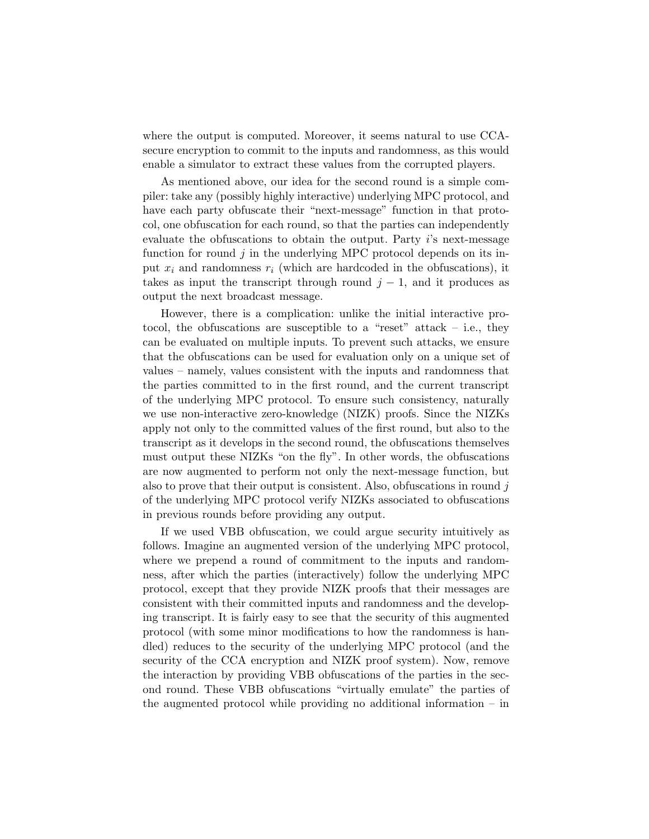where the output is computed. Moreover, it seems natural to use CCAsecure encryption to commit to the inputs and randomness, as this would enable a simulator to extract these values from the corrupted players.

As mentioned above, our idea for the second round is a simple compiler: take any (possibly highly interactive) underlying MPC protocol, and have each party obfuscate their "next-message" function in that protocol, one obfuscation for each round, so that the parties can independently evaluate the obfuscations to obtain the output. Party i's next-message function for round  $j$  in the underlying MPC protocol depends on its input  $x_i$  and randomness  $r_i$  (which are hardcoded in the obfuscations), it takes as input the transcript through round  $j-1$ , and it produces as output the next broadcast message.

However, there is a complication: unlike the initial interactive protocol, the obfuscations are susceptible to a "reset" attack – i.e., they can be evaluated on multiple inputs. To prevent such attacks, we ensure that the obfuscations can be used for evaluation only on a unique set of values – namely, values consistent with the inputs and randomness that the parties committed to in the first round, and the current transcript of the underlying MPC protocol. To ensure such consistency, naturally we use non-interactive zero-knowledge (NIZK) proofs. Since the NIZKs apply not only to the committed values of the first round, but also to the transcript as it develops in the second round, the obfuscations themselves must output these NIZKs "on the fly". In other words, the obfuscations are now augmented to perform not only the next-message function, but also to prove that their output is consistent. Also, obfuscations in round  $j$ of the underlying MPC protocol verify NIZKs associated to obfuscations in previous rounds before providing any output.

If we used VBB obfuscation, we could argue security intuitively as follows. Imagine an augmented version of the underlying MPC protocol, where we prepend a round of commitment to the inputs and randomness, after which the parties (interactively) follow the underlying MPC protocol, except that they provide NIZK proofs that their messages are consistent with their committed inputs and randomness and the developing transcript. It is fairly easy to see that the security of this augmented protocol (with some minor modifications to how the randomness is handled) reduces to the security of the underlying MPC protocol (and the security of the CCA encryption and NIZK proof system). Now, remove the interaction by providing VBB obfuscations of the parties in the second round. These VBB obfuscations "virtually emulate" the parties of the augmented protocol while providing no additional information – in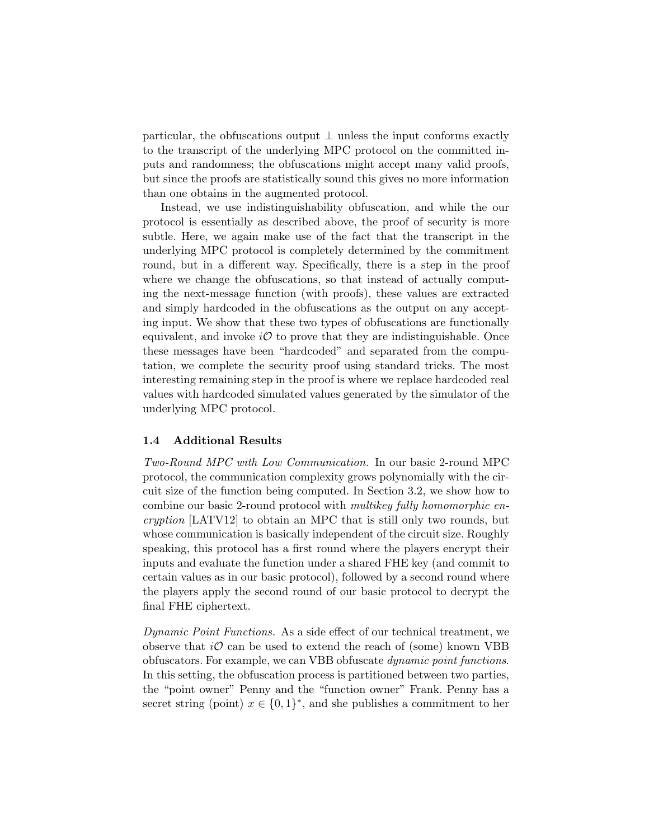particular, the obfuscations output  $\perp$  unless the input conforms exactly to the transcript of the underlying MPC protocol on the committed inputs and randomness; the obfuscations might accept many valid proofs, but since the proofs are statistically sound this gives no more information than one obtains in the augmented protocol.

Instead, we use indistinguishability obfuscation, and while the our protocol is essentially as described above, the proof of security is more subtle. Here, we again make use of the fact that the transcript in the underlying MPC protocol is completely determined by the commitment round, but in a different way. Specifically, there is a step in the proof where we change the obfuscations, so that instead of actually computing the next-message function (with proofs), these values are extracted and simply hardcoded in the obfuscations as the output on any accepting input. We show that these two types of obfuscations are functionally equivalent, and invoke  $i\mathcal{O}$  to prove that they are indistinguishable. Once these messages have been "hardcoded" and separated from the computation, we complete the security proof using standard tricks. The most interesting remaining step in the proof is where we replace hardcoded real values with hardcoded simulated values generated by the simulator of the underlying MPC protocol.

# 1.4 Additional Results

Two-Round MPC with Low Communication. In our basic 2-round MPC protocol, the communication complexity grows polynomially with the circuit size of the function being computed. In Section 3.2, we show how to combine our basic 2-round protocol with multikey fully homomorphic encryption [LATV12] to obtain an MPC that is still only two rounds, but whose communication is basically independent of the circuit size. Roughly speaking, this protocol has a first round where the players encrypt their inputs and evaluate the function under a shared FHE key (and commit to certain values as in our basic protocol), followed by a second round where the players apply the second round of our basic protocol to decrypt the final FHE ciphertext.

Dynamic Point Functions. As a side effect of our technical treatment, we observe that  $i\mathcal{O}$  can be used to extend the reach of (some) known VBB obfuscators. For example, we can VBB obfuscate dynamic point functions. In this setting, the obfuscation process is partitioned between two parties, the "point owner" Penny and the "function owner" Frank. Penny has a secret string (point)  $x \in \{0,1\}^*$ , and she publishes a commitment to her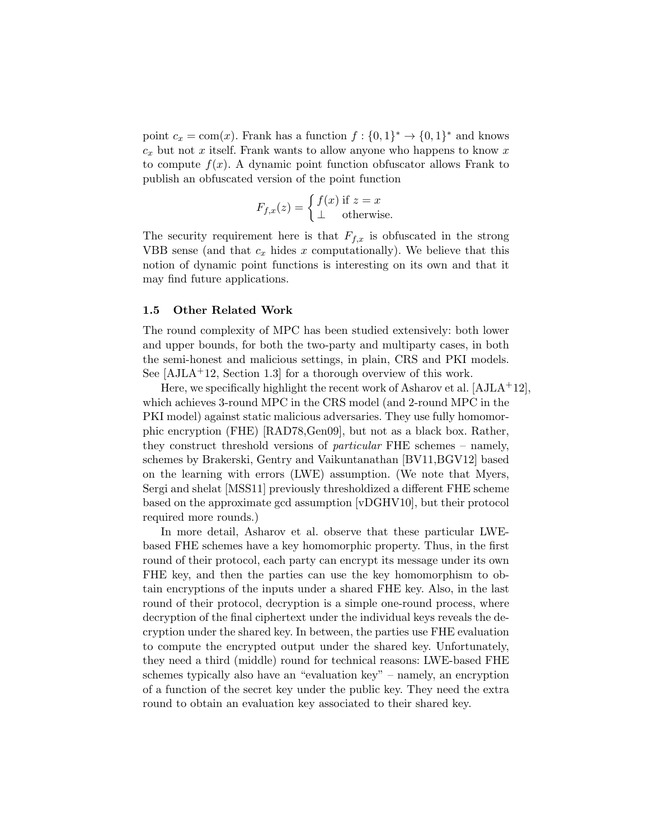point  $c_x = \text{com}(x)$ . Frank has a function  $f: \{0,1\}^* \to \{0,1\}^*$  and knows  $c_x$  but not x itself. Frank wants to allow anyone who happens to know x to compute  $f(x)$ . A dynamic point function obfuscator allows Frank to publish an obfuscated version of the point function

$$
F_{f,x}(z) = \begin{cases} f(x) \text{ if } z = x \\ \perp \quad \text{otherwise.} \end{cases}
$$

The security requirement here is that  $F_{f,x}$  is obfuscated in the strong VBB sense (and that  $c_x$  hides x computationally). We believe that this notion of dynamic point functions is interesting on its own and that it may find future applications.

#### 1.5 Other Related Work

The round complexity of MPC has been studied extensively: both lower and upper bounds, for both the two-party and multiparty cases, in both the semi-honest and malicious settings, in plain, CRS and PKI models. See  $[AJLA+12, Section 1.3]$  for a thorough overview of this work.

Here, we specifically highlight the recent work of Asharov et al.  $[AJLA+12]$ , which achieves 3-round MPC in the CRS model (and 2-round MPC in the PKI model) against static malicious adversaries. They use fully homomorphic encryption (FHE) [RAD78,Gen09], but not as a black box. Rather, they construct threshold versions of particular FHE schemes – namely, schemes by Brakerski, Gentry and Vaikuntanathan [BV11,BGV12] based on the learning with errors (LWE) assumption. (We note that Myers, Sergi and shelat [MSS11] previously thresholdized a different FHE scheme based on the approximate gcd assumption [vDGHV10], but their protocol required more rounds.)

In more detail, Asharov et al. observe that these particular LWEbased FHE schemes have a key homomorphic property. Thus, in the first round of their protocol, each party can encrypt its message under its own FHE key, and then the parties can use the key homomorphism to obtain encryptions of the inputs under a shared FHE key. Also, in the last round of their protocol, decryption is a simple one-round process, where decryption of the final ciphertext under the individual keys reveals the decryption under the shared key. In between, the parties use FHE evaluation to compute the encrypted output under the shared key. Unfortunately, they need a third (middle) round for technical reasons: LWE-based FHE schemes typically also have an "evaluation key" – namely, an encryption of a function of the secret key under the public key. They need the extra round to obtain an evaluation key associated to their shared key.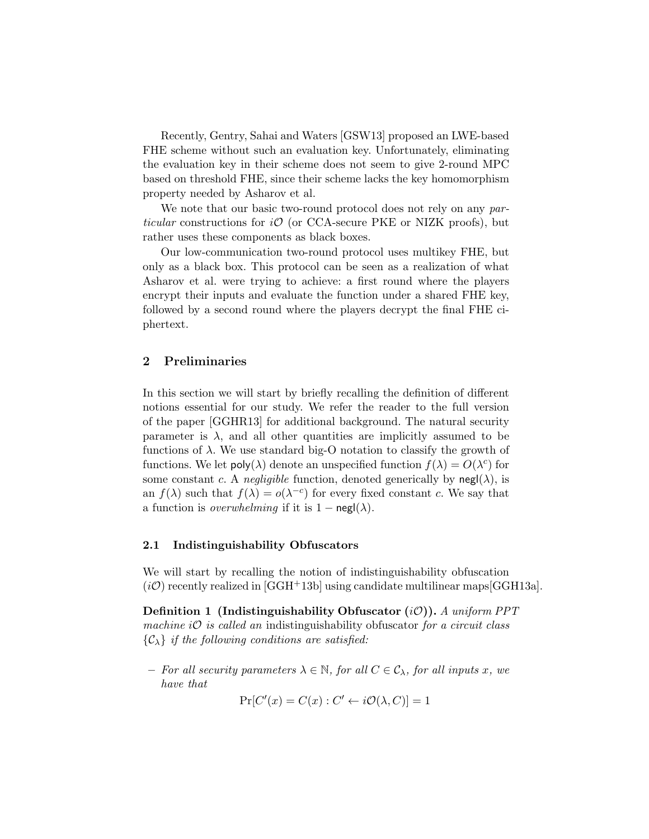Recently, Gentry, Sahai and Waters [GSW13] proposed an LWE-based FHE scheme without such an evaluation key. Unfortunately, eliminating the evaluation key in their scheme does not seem to give 2-round MPC based on threshold FHE, since their scheme lacks the key homomorphism property needed by Asharov et al.

We note that our basic two-round protocol does not rely on any particular constructions for  $i\mathcal{O}$  (or CCA-secure PKE or NIZK proofs), but rather uses these components as black boxes.

Our low-communication two-round protocol uses multikey FHE, but only as a black box. This protocol can be seen as a realization of what Asharov et al. were trying to achieve: a first round where the players encrypt their inputs and evaluate the function under a shared FHE key, followed by a second round where the players decrypt the final FHE ciphertext.

# 2 Preliminaries

In this section we will start by briefly recalling the definition of different notions essential for our study. We refer the reader to the full version of the paper [GGHR13] for additional background. The natural security parameter is  $\lambda$ , and all other quantities are implicitly assumed to be functions of  $\lambda$ . We use standard big-O notation to classify the growth of functions. We let  $poly(\lambda)$  denote an unspecified function  $f(\lambda) = O(\lambda^c)$  for some constant c. A *negligible* function, denoted generically by  $\mathsf{negl}(\lambda)$ , is an  $f(\lambda)$  such that  $f(\lambda) = o(\lambda^{-c})$  for every fixed constant c. We say that a function is *overwhelming* if it is  $1 - \text{negl}(\lambda)$ .

# 2.1 Indistinguishability Obfuscators

We will start by recalling the notion of indistinguishability obfuscation  $(i\mathcal{O})$  recently realized in [GGH+13b] using candidate multilinear maps [GGH13a].

Definition 1 (Indistinguishability Obfuscator  $(i\mathcal{O})$ ). A uniform PPT machine iO is called an indistinguishability obfuscator for a circuit class  ${C_{\lambda}}$  if the following conditions are satisfied:

– For all security parameters  $\lambda \in \mathbb{N}$ , for all  $C \in \mathcal{C}_{\lambda}$ , for all inputs x, we have that

 $Pr[C'(x) = C(x) : C' \leftarrow i\mathcal{O}(\lambda, C)] = 1$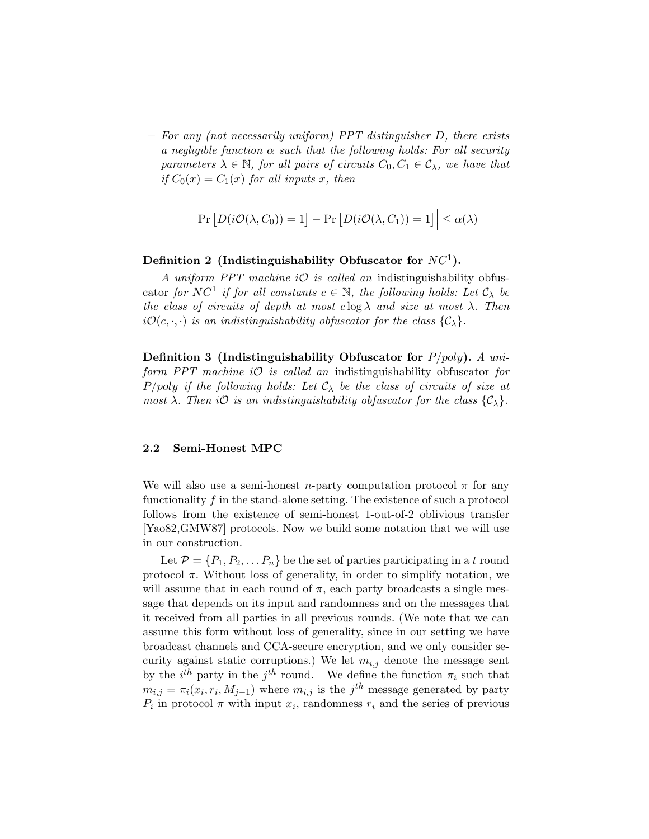$-$  For any (not necessarily uniform) PPT distinguisher D, there exists a negligible function  $\alpha$  such that the following holds: For all security parameters  $\lambda \in \mathbb{N}$ , for all pairs of circuits  $C_0, C_1 \in \mathcal{C}_{\lambda}$ , we have that if  $C_0(x) = C_1(x)$  for all inputs x, then

$$
\left| \Pr \left[ D(i\mathcal{O}(\lambda, C_0)) = 1 \right] - \Pr \left[ D(i\mathcal{O}(\lambda, C_1)) = 1 \right] \right| \leq \alpha(\lambda)
$$

# Definition 2 (Indistinguishability Obfuscator for  $NC<sup>1</sup>$ ).

A uniform PPT machine  $i\mathcal{O}$  is called an indistinguishability obfuscator for  $NC^1$  if for all constants  $c \in \mathbb{N}$ , the following holds: Let  $\mathcal{C}_{\lambda}$  be the class of circuits of depth at most  $c \log \lambda$  and size at most  $\lambda$ . Then  $i\mathcal{O}(c, \cdot, \cdot)$  is an indistinguishability obfuscator for the class  $\{\mathcal{C}_{\lambda}\}.$ 

Definition 3 (Indistinguishability Obfuscator for  $P/poly$ ). A uniform PPT machine  $i\mathcal{O}$  is called an indistinguishability obfuscator for P/poly if the following holds: Let  $C_{\lambda}$  be the class of circuits of size at most  $\lambda$ . Then iO is an indistinguishability obfuscator for the class  $\{\mathcal{C}_{\lambda}\}.$ 

# 2.2 Semi-Honest MPC

We will also use a semi-honest *n*-party computation protocol  $\pi$  for any functionality  $f$  in the stand-alone setting. The existence of such a protocol follows from the existence of semi-honest 1-out-of-2 oblivious transfer [Yao82,GMW87] protocols. Now we build some notation that we will use in our construction.

Let  $\mathcal{P} = \{P_1, P_2, \ldots, P_n\}$  be the set of parties participating in a t round protocol  $\pi$ . Without loss of generality, in order to simplify notation, we will assume that in each round of  $\pi$ , each party broadcasts a single message that depends on its input and randomness and on the messages that it received from all parties in all previous rounds. (We note that we can assume this form without loss of generality, since in our setting we have broadcast channels and CCA-secure encryption, and we only consider security against static corruptions.) We let  $m_{i,j}$  denote the message sent by the  $i^{th}$  party in the  $j^{th}$  round. We define the function  $\pi_i$  such that  $m_{i,j} = \pi_i(x_i, r_i, M_{j-1})$  where  $m_{i,j}$  is the  $j^{th}$  message generated by party  $P_i$  in protocol  $\pi$  with input  $x_i$ , randomness  $r_i$  and the series of previous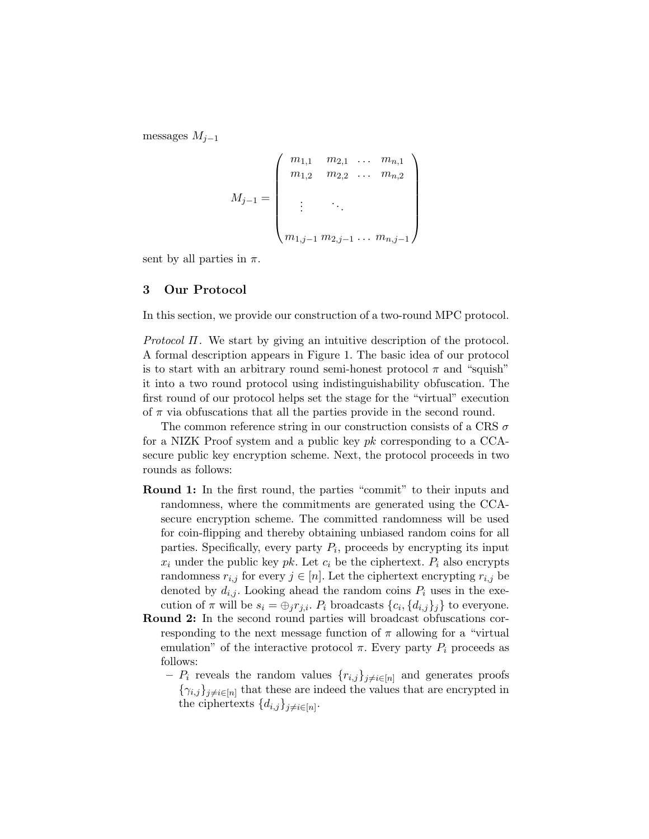messages  $M_{i-1}$ 

$$
M_{j-1} = \begin{pmatrix} m_{1,1} & m_{2,1} & \dots & m_{n,1} \\ m_{1,2} & m_{2,2} & \dots & m_{n,2} \\ \vdots & & \ddots & \\ m_{1,j-1} & m_{2,j-1} & \dots & m_{n,j-1} \end{pmatrix}
$$

sent by all parties in  $\pi$ .

## 3 Our Protocol

In this section, we provide our construction of a two-round MPC protocol.

Protocol Π. We start by giving an intuitive description of the protocol. A formal description appears in Figure 1. The basic idea of our protocol is to start with an arbitrary round semi-honest protocol  $\pi$  and "squish" it into a two round protocol using indistinguishability obfuscation. The first round of our protocol helps set the stage for the "virtual" execution of  $\pi$  via obfuscations that all the parties provide in the second round.

The common reference string in our construction consists of a CRS  $\sigma$ for a NIZK Proof system and a public key pk corresponding to a CCAsecure public key encryption scheme. Next, the protocol proceeds in two rounds as follows:

- Round 1: In the first round, the parties "commit" to their inputs and randomness, where the commitments are generated using the CCAsecure encryption scheme. The committed randomness will be used for coin-flipping and thereby obtaining unbiased random coins for all parties. Specifically, every party  $P_i$ , proceeds by encrypting its input  $x_i$  under the public key pk. Let  $c_i$  be the ciphertext.  $P_i$  also encrypts randomness  $r_{i,j}$  for every  $j \in [n]$ . Let the ciphertext encrypting  $r_{i,j}$  be denoted by  $d_{i,j}$ . Looking ahead the random coins  $P_i$  uses in the execution of  $\pi$  will be  $s_i = \bigoplus_j r_{j,i}$ .  $P_i$  broadcasts  $\{c_i, \{d_{i,j}\}_j\}$  to everyone.
- Round 2: In the second round parties will broadcast obfuscations corresponding to the next message function of  $\pi$  allowing for a "virtual" emulation" of the interactive protocol  $\pi$ . Every party  $P_i$  proceeds as follows:
	- $P_i$  reveals the random values  $\{r_{i,j}\}_{j\neq i\in[n]}$  and generates proofs  $\{\gamma_{i,j}\}_{j\neq i\in[n]}$  that these are indeed the values that are encrypted in the ciphertexts  $\{d_{i,j}\}_{j\neq i\in[n]}.$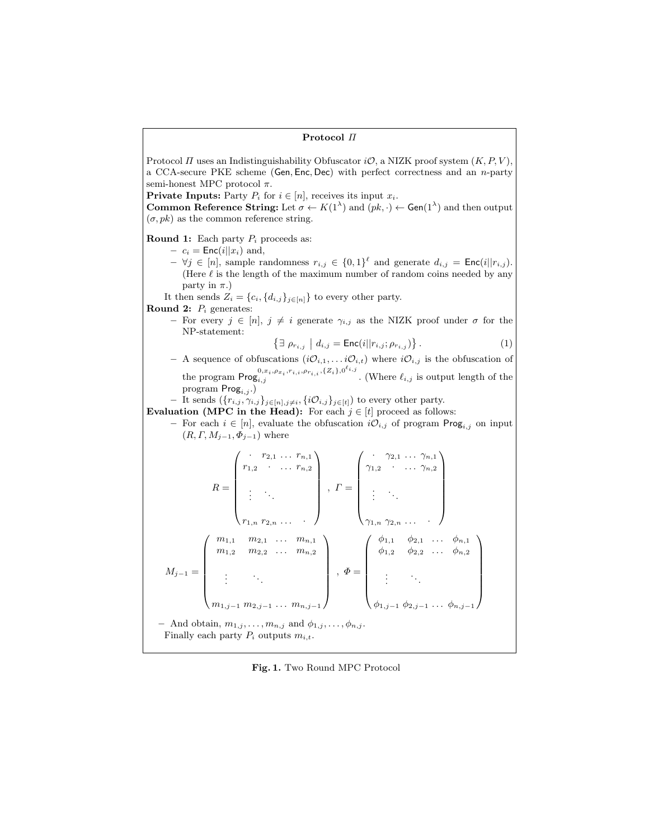#### Protocol Π

Protocol  $\Pi$  uses an Indistinguishability Obfuscator iO, a NIZK proof system  $(K, P, V)$ , a CCA-secure PKE scheme (Gen, Enc, Dec) with perfect correctness and an  $n$ -party semi-honest MPC protocol  $\pi$ .

**Private Inputs:** Party  $P_i$  for  $i \in [n]$ , receives its input  $x_i$ .

**Common Reference String:** Let  $\sigma \leftarrow K(1^{\lambda})$  and  $(pk, \cdot) \leftarrow$  Gen $(1^{\lambda})$  and then output  $(\sigma, pk)$  as the common reference string.

**Round 1:** Each party  $P_i$  proceeds as:

 $-c_i = \text{Enc}(i||x_i)$  and,

 $\forall j \in [n]$ , sample randomness  $r_{i,j} \in \{0,1\}^{\ell}$  and generate  $d_{i,j} = \text{Enc}(i||r_{i,j})$ . (Here  $\ell$  is the length of the maximum number of random coins needed by any party in  $\pi$ .)

It then sends  $Z_i = \{c_i, \{d_{i,j}\}_{j\in[n]}\}$  to every other party.

Round 2:  $P_i$  generates:

– For every  $j \in [n], j \neq i$  generate  $\gamma_{i,j}$  as the NIZK proof under  $\sigma$  for the NP-statement:

$$
\left\{\exists \rho_{r_{i,j}} \middle| d_{i,j} = \text{Enc}(i||r_{i,j}; \rho_{r_{i,j}})\right\}.
$$
\n(1)

– A sequence of obfuscations  $(i\mathcal{O}_{i,1}, \ldots i\mathcal{O}_{i,t})$  where  $i\mathcal{O}_{i,j}$  is the obfuscation of the program  $\text{Prog}_{i,j}^{0,x_i,\rho_{x_i},r_{i,i},\rho_{r_{i,i}},\{Z_i\},0^{\ell_{i,j}}}$ . (Where  $\ell_{i,j}$  is output length of the program  $\text{Prog}_{i,j}$ .)

- It sends  $({r_{i,j}, \gamma_{i,j}}_{j\in[n],j\neq i}, {i\mathcal{O}_{i,j}}_{j\in[t]})$  to every other party.

Evaluation (MPC in the Head): For each  $j \in [t]$  proceed as follows:

– For each  $i \in [n]$ , evaluate the obfuscation  $i\mathcal{O}_{i,j}$  of program Prog<sub>i,j</sub> on input  $(R, \Gamma, M_{j-1}, \Phi_{j-1})$  where

$$
R = \begin{pmatrix} r_{1,2} & \cdots & r_{n,1} \\ r_{1,2} & \cdots & r_{n,2} \\ \vdots & \ddots & \vdots \\ r_{1,n} & r_{2,n} & \cdots \end{pmatrix}, \quad \Gamma = \begin{pmatrix} \gamma_{2,1} & \cdots & \gamma_{n,1} \\ \gamma_{1,2} & \cdots & \gamma_{n,2} \\ \vdots & \ddots & \vdots \\ \gamma_{1,n} & \gamma_{2,n} & \cdots \end{pmatrix}
$$

$$
M_{j-1} = \begin{pmatrix} m_{1,1} & m_{2,1} & \cdots & m_{n,1} \\ m_{1,2} & m_{2,2} & \cdots & m_{n,2} \\ \vdots & \ddots & \vdots \\ m_{1,j-1} & m_{2,j-1} & \cdots & m_{n,j-1} \end{pmatrix}, \quad \Phi = \begin{pmatrix} \phi_{1,1} & \phi_{2,1} & \cdots & \phi_{n,1} \\ \phi_{1,2} & \phi_{2,2} & \cdots & \phi_{n,2} \\ \vdots & \ddots & \vdots \\ \phi_{1,j-1} & \phi_{2,j-1} & \cdots & \phi_{n,j-1} \end{pmatrix}
$$

$$
= \text{And obtain}, m_{1,j}, \ldots, m_{n,j} \text{ and } \phi_{1,j}, \ldots, \phi_{n,j}.
$$

$$
Finally each party P_i outputs m_{i,t}.
$$

Fig. 1. Two Round MPC Protocol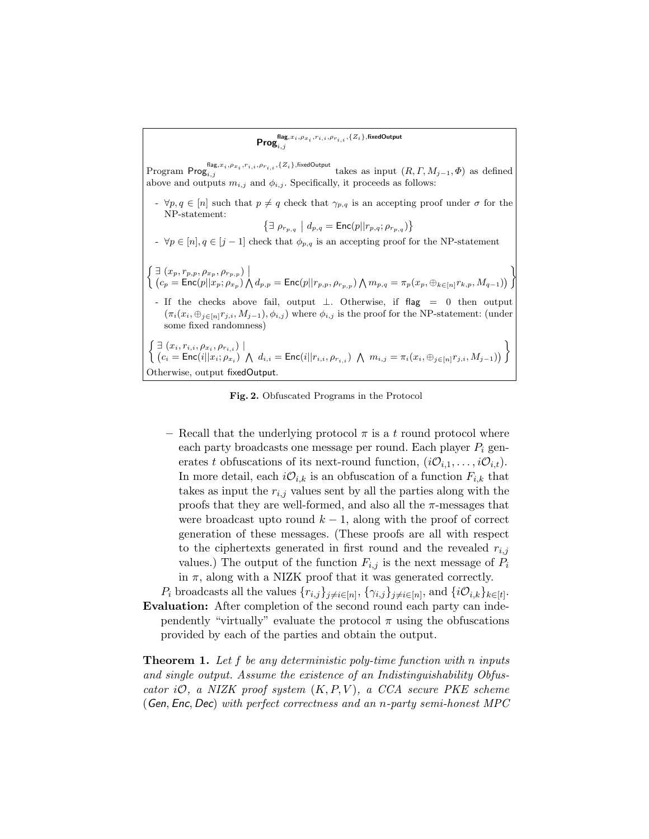#### $\mathsf{Prog}_{i,j}^{\mathsf{neg}}$ flag, $x_i, \rho_{x_{\,i}}, r_{i,\,i}, \rho_{r_{\,i,\,i}}$  ,  $\{Z_i\},$  fixedOutput

Program  $Prog_{i,j}$  $\frac{f_{\mathsf{flag},x_i,\rho_{x_i},r_{i,i},\rho_{r_{i,i}},\{Z_i\},\text{fixedOutput}}}{i}$  takes as input  $(R,\varGamma,M_{j-1},\varPhi)$  as defined above and outputs  $m_{i,j}$  and  $\phi_{i,j}$ . Specifically, it proceeds as follows:

 $\forall p, q \in [n]$  such that  $p \neq q$  check that  $\gamma_{p,q}$  is an accepting proof under  $\sigma$  for the NP-statement:

$$
\left\{ \exists \; \rho_{r_{p,q}} \; \left| \; d_{p,q} = \mathsf{Enc}(p || r_{p,q}; \rho_{r_{p,q}}) \right. \right\}
$$

 $-\forall p \in [n], q \in [j-1]$  check that  $\phi_{p,q}$  is an accepting proof for the NP-statement

$$
\left\{ \left. \begin{array}{l} \exists \left( x_p, r_{p,p}, \rho_{x_p}, \rho_{r_{p,p}} \right) \\ \left( c_p = \text{Enc}(p || x_p; \rho_{x_p}) \bigwedge d_{p,p} = \text{Enc}(p || r_{p,p}, \rho_{r_{p,p}}) \bigwedge m_{p,q} = \pi_p(x_p, \oplus_{k \in [n]} r_{k,p}, M_{q-1}) \right) \end{array} \right\}
$$

- If the checks above fail, output  $\perp$ . Otherwise, if flag = 0 then output  $(\pi_i(x_i, \bigoplus_{j\in[n]} r_{j,i}, M_{j-1}), \phi_{i,j})$  where  $\phi_{i,j}$  is the proof for the NP-statement: (under some fixed randomness)

 $\int \exists (x_i, r_{i,i}, \rho_{x_i}, \rho_{r_{i,i}})$  $\big( c_i = \mathsf{Enc}(i||x_i; \rho_{x_i}) \ \bigwedge \ d_{i,i} = \mathsf{Enc}(i||r_{i,i}, \rho_{r_{i,i}}) \ \bigwedge \ m_{i,j} = \pi_i(x_i, \oplus_{j \in [n]} r_{j,i}, M_{j-1}) \big)$ 1 Otherwise, output fixedOutput.

Fig. 2. Obfuscated Programs in the Protocol

– Recall that the underlying protocol  $\pi$  is a t round protocol where each party broadcasts one message per round. Each player  $P_i$  generates t obfuscations of its next-round function,  $(i\mathcal{O}_{i,1}, \ldots, i\mathcal{O}_{i,t}).$ In more detail, each  $i\mathcal{O}_{i,k}$  is an obfuscation of a function  $F_{i,k}$  that takes as input the  $r_{i,j}$  values sent by all the parties along with the proofs that they are well-formed, and also all the  $\pi$ -messages that were broadcast upto round  $k - 1$ , along with the proof of correct generation of these messages. (These proofs are all with respect to the ciphertexts generated in first round and the revealed  $r_{i,j}$ values.) The output of the function  $F_{i,j}$  is the next message of  $P_i$ in  $\pi$ , along with a NIZK proof that it was generated correctly.

 $P_i$  broadcasts all the values  $\{r_{i,j}\}_{j\neq i\in[n]}, \{\gamma_{i,j}\}_{j\neq i\in[n]},$  and  $\{i\mathcal{O}_{i,k}\}_{k\in[t]}$ . Evaluation: After completion of the second round each party can independently "virtually" evaluate the protocol  $\pi$  using the obfuscations provided by each of the parties and obtain the output.

**Theorem 1.** Let f be any deterministic poly-time function with n inputs and single output. Assume the existence of an Indistinguishability Obfuscator iO, a NIZK proof system  $(K, P, V)$ , a CCA secure PKE scheme (Gen, Enc, Dec) with perfect correctness and an n-party semi-honest  $MPC$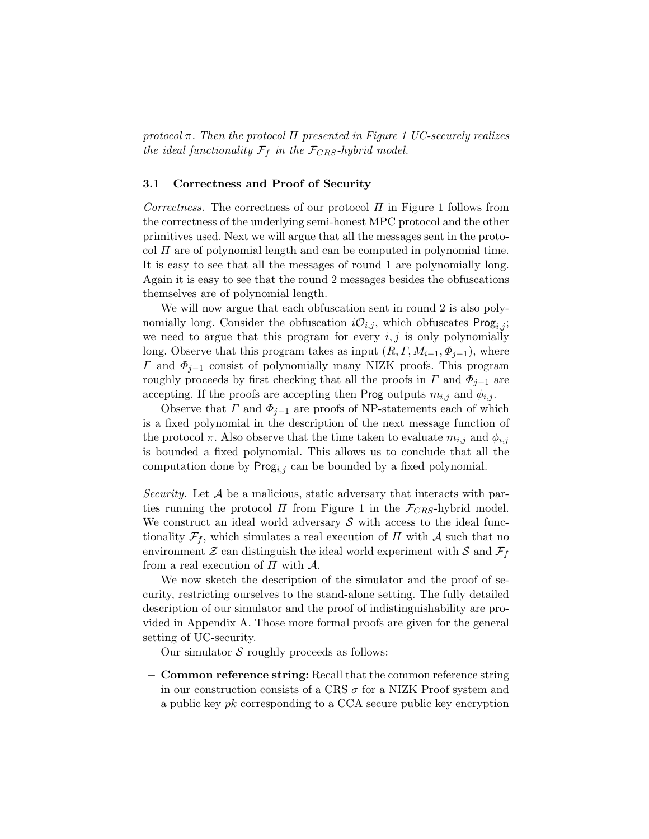protocol  $\pi$ . Then the protocol  $\Pi$  presented in Figure 1 UC-securely realizes the ideal functionality  $\mathcal{F}_f$  in the  $\mathcal{F}_{CRS}$ -hybrid model.

#### 3.1 Correctness and Proof of Security

Correctness. The correctness of our protocol  $\Pi$  in Figure 1 follows from the correctness of the underlying semi-honest MPC protocol and the other primitives used. Next we will argue that all the messages sent in the protocol  $\Pi$  are of polynomial length and can be computed in polynomial time. It is easy to see that all the messages of round 1 are polynomially long. Again it is easy to see that the round 2 messages besides the obfuscations themselves are of polynomial length.

We will now argue that each obfuscation sent in round 2 is also polynomially long. Consider the obfuscation  $i\mathcal{O}_{i,j}$ , which obfuscates Pro $g_{i,j}$ ; we need to argue that this program for every  $i, j$  is only polynomially long. Observe that this program takes as input  $(R, \Gamma, M_{i-1}, \Phi_{j-1})$ , where  $Γ$  and  $Φ_{j-1}$  consist of polynomially many NIZK proofs. This program roughly proceeds by first checking that all the proofs in  $\Gamma$  and  $\Phi_{j-1}$  are accepting. If the proofs are accepting then Prog outputs  $m_{i,j}$  and  $\phi_{i,j}$ .

Observe that  $\Gamma$  and  $\Phi_{j-1}$  are proofs of NP-statements each of which is a fixed polynomial in the description of the next message function of the protocol  $\pi$ . Also observe that the time taken to evaluate  $m_{i,j}$  and  $\phi_{i,j}$ is bounded a fixed polynomial. This allows us to conclude that all the computation done by  $\text{Prog}_{i,j}$  can be bounded by a fixed polynomial.

Security. Let  $A$  be a malicious, static adversary that interacts with parties running the protocol  $\Pi$  from Figure 1 in the  $\mathcal{F}_{CRS}$ -hybrid model. We construct an ideal world adversary  $S$  with access to the ideal functionality  $\mathcal{F}_f$ , which simulates a real execution of  $\Pi$  with  $\mathcal A$  such that no environment  $\mathcal Z$  can distinguish the ideal world experiment with  $\mathcal S$  and  $\mathcal F_f$ from a real execution of  $\Pi$  with  $\mathcal{A}$ .

We now sketch the description of the simulator and the proof of security, restricting ourselves to the stand-alone setting. The fully detailed description of our simulator and the proof of indistinguishability are provided in Appendix A. Those more formal proofs are given for the general setting of UC-security.

Our simulator  $S$  roughly proceeds as follows:

– Common reference string: Recall that the common reference string in our construction consists of a CRS  $\sigma$  for a NIZK Proof system and a public key pk corresponding to a CCA secure public key encryption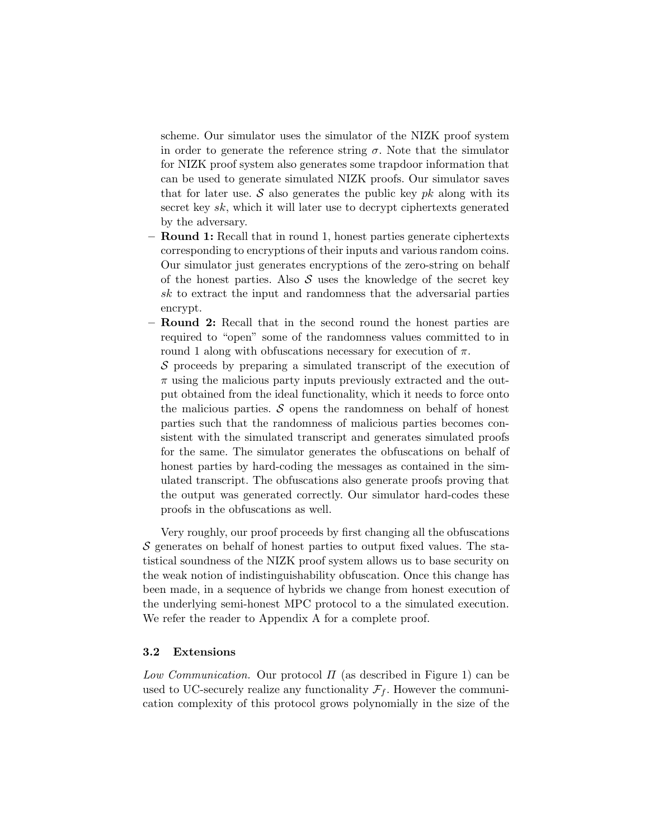scheme. Our simulator uses the simulator of the NIZK proof system in order to generate the reference string  $\sigma$ . Note that the simulator for NIZK proof system also generates some trapdoor information that can be used to generate simulated NIZK proofs. Our simulator saves that for later use. S also generates the public key  $pk$  along with its secret key sk, which it will later use to decrypt ciphertexts generated by the adversary.

- Round 1: Recall that in round 1, honest parties generate ciphertexts corresponding to encryptions of their inputs and various random coins. Our simulator just generates encryptions of the zero-string on behalf of the honest parties. Also  $S$  uses the knowledge of the secret key sk to extract the input and randomness that the adversarial parties encrypt.
- Round 2: Recall that in the second round the honest parties are required to "open" some of the randomness values committed to in round 1 along with obfuscations necessary for execution of  $\pi$ .

S proceeds by preparing a simulated transcript of the execution of  $\pi$  using the malicious party inputs previously extracted and the output obtained from the ideal functionality, which it needs to force onto the malicious parties.  $S$  opens the randomness on behalf of honest parties such that the randomness of malicious parties becomes consistent with the simulated transcript and generates simulated proofs for the same. The simulator generates the obfuscations on behalf of honest parties by hard-coding the messages as contained in the simulated transcript. The obfuscations also generate proofs proving that the output was generated correctly. Our simulator hard-codes these proofs in the obfuscations as well.

Very roughly, our proof proceeds by first changing all the obfuscations  $S$  generates on behalf of honest parties to output fixed values. The statistical soundness of the NIZK proof system allows us to base security on the weak notion of indistinguishability obfuscation. Once this change has been made, in a sequence of hybrids we change from honest execution of the underlying semi-honest MPC protocol to a the simulated execution. We refer the reader to Appendix A for a complete proof.

### 3.2 Extensions

Low Communication. Our protocol  $\Pi$  (as described in Figure 1) can be used to UC-securely realize any functionality  $\mathcal{F}_f$ . However the communication complexity of this protocol grows polynomially in the size of the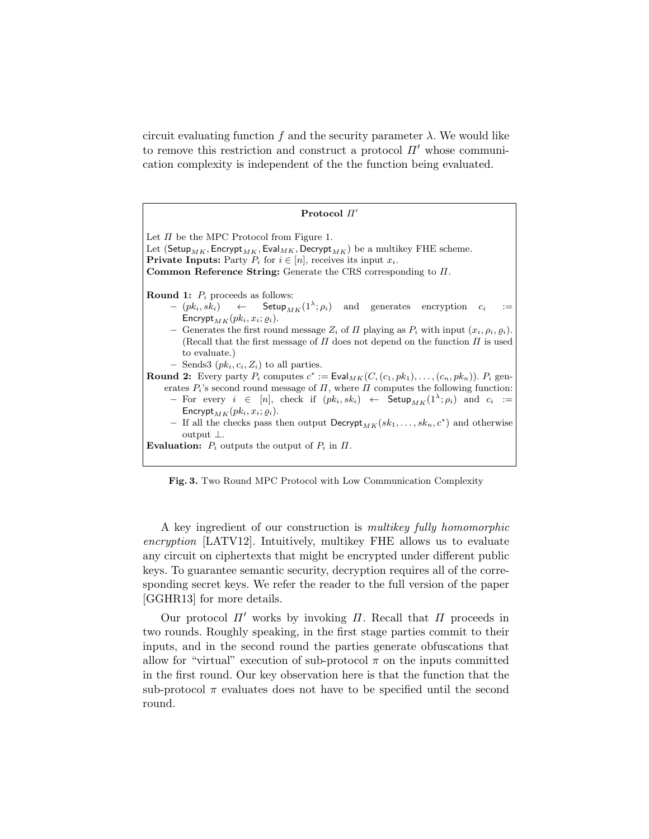circuit evaluating function f and the security parameter  $\lambda$ . We would like to remove this restriction and construct a protocol  $\Pi'$  whose communication complexity is independent of the the function being evaluated.

| Protocol $\Pi'$                                                                                                                                                                                                                                                                                                                                                                                                                                                                                        |
|--------------------------------------------------------------------------------------------------------------------------------------------------------------------------------------------------------------------------------------------------------------------------------------------------------------------------------------------------------------------------------------------------------------------------------------------------------------------------------------------------------|
| Let $\Pi$ be the MPC Protocol from Figure 1.<br>Let (Setup <sub>MK</sub> , Encrypt <sub>MK</sub> , Eval <sub>MK</sub> , Decrypt <sub>MK</sub> ) be a multikey FHE scheme.<br><b>Private Inputs:</b> Party $P_i$ for $i \in [n]$ , receives its input $x_i$ .<br><b>Common Reference String:</b> Generate the CRS corresponding to $\Pi$ .                                                                                                                                                              |
| <b>Round 1:</b> $P_i$ proceeds as follows:<br>$-(pk_i, sk_i) \leftarrow$ Setup <sub>MK</sub> $(1^{\lambda}; \rho_i)$ and generates encryption $c_i$<br>Encrypt $_{MK}(pk_i, x_i; \rho_i)$ .<br>- Generates the first round message $Z_i$ of $\Pi$ playing as $P_i$ with input $(x_i, \rho_i, \rho_i)$ .<br>(Recall that the first message of $\Pi$ does not depend on the function $\Pi$ is used<br>to evaluate.)<br>- Sends3 $(pk_i, c_i, Z_i)$ to all parties.                                       |
| <b>Round 2:</b> Every party $P_i$ computes $c^* := \text{Eval}_{MK}(C, (c_1, pk_1), \ldots, (c_n, pk_n))$ . $P_i$ gen-<br>erates $P_i$ 's second round message of $\Pi$ , where $\Pi$ computes the following function:<br>- For every $i \in [n]$ , check if $(pk_i, sk_i) \leftarrow$ Setup $_{MK}(1^{\lambda}; \rho_i)$ and $c_i :=$<br>Encrypt $_{MK}(pk_i, x_i; \rho_i)$ .<br>- If all the checks pass then output $\text{Decrypt}_{MK}(sk_1,\ldots, sk_n, c^*)$ and otherwise<br>output $\perp$ . |
| <b>Evaluation:</b> $P_i$ outputs the output of $P_i$ in $\Pi$ .                                                                                                                                                                                                                                                                                                                                                                                                                                        |
|                                                                                                                                                                                                                                                                                                                                                                                                                                                                                                        |

Fig. 3. Two Round MPC Protocol with Low Communication Complexity

A key ingredient of our construction is multikey fully homomorphic encryption [LATV12]. Intuitively, multikey FHE allows us to evaluate any circuit on ciphertexts that might be encrypted under different public keys. To guarantee semantic security, decryption requires all of the corresponding secret keys. We refer the reader to the full version of the paper [GGHR13] for more details.

Our protocol  $\Pi'$  works by invoking  $\Pi$ . Recall that  $\Pi$  proceeds in two rounds. Roughly speaking, in the first stage parties commit to their inputs, and in the second round the parties generate obfuscations that allow for "virtual" execution of sub-protocol  $\pi$  on the inputs committed in the first round. Our key observation here is that the function that the sub-protocol  $\pi$  evaluates does not have to be specified until the second round.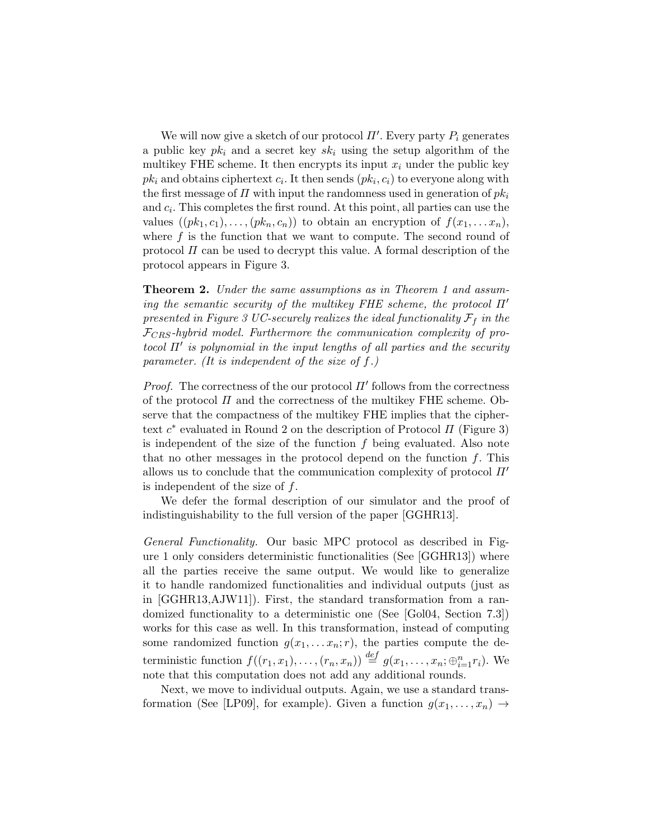We will now give a sketch of our protocol  $\Pi'$ . Every party  $P_i$  generates a public key  $pk_i$  and a secret key  $sk_i$  using the setup algorithm of the multikey FHE scheme. It then encrypts its input  $x_i$  under the public key  $pk_i$  and obtains ciphertext  $c_i$ . It then sends  $(pk_i, c_i)$  to everyone along with the first message of  $\Pi$  with input the randomness used in generation of  $pk_i$ and  $c_i$ . This completes the first round. At this point, all parties can use the values  $((pk_1, c_1), \ldots, (pk_n, c_n))$  to obtain an encryption of  $f(x_1, \ldots, x_n)$ , where  $f$  is the function that we want to compute. The second round of protocol  $\Pi$  can be used to decrypt this value. A formal description of the protocol appears in Figure 3.

Theorem 2. Under the same assumptions as in Theorem 1 and assuming the semantic security of the multikey FHE scheme, the protocol  $\Pi'$ presented in Figure 3 UC-securely realizes the ideal functionality  $\mathcal{F}_f$  in the  $\mathcal{F}_{CRS}$ -hybrid model. Furthermore the communication complexity of protocol  $\Pi'$  is polynomial in the input lengths of all parties and the security parameter. (It is independent of the size of  $f$ .)

*Proof.* The correctness of the our protocol  $\Pi'$  follows from the correctness of the protocol  $\Pi$  and the correctness of the multikey FHE scheme. Observe that the compactness of the multikey FHE implies that the ciphertext  $c^*$  evaluated in Round 2 on the description of Protocol  $\Pi$  (Figure 3) is independent of the size of the function f being evaluated. Also note that no other messages in the protocol depend on the function  $f$ . This allows us to conclude that the communication complexity of protocol  $\Pi'$ is independent of the size of f.

We defer the formal description of our simulator and the proof of indistinguishability to the full version of the paper [GGHR13].

General Functionality. Our basic MPC protocol as described in Figure 1 only considers deterministic functionalities (See [GGHR13]) where all the parties receive the same output. We would like to generalize it to handle randomized functionalities and individual outputs (just as in [GGHR13,AJW11]). First, the standard transformation from a randomized functionality to a deterministic one (See [Gol04, Section 7.3]) works for this case as well. In this transformation, instead of computing some randomized function  $g(x_1, \ldots, x_n; r)$ , the parties compute the deterministic function  $f((r_1, x_1), \ldots, (r_n, x_n)) \stackrel{def}{=} g(x_1, \ldots, x_n; \bigoplus_{i=1}^n r_i)$ . We note that this computation does not add any additional rounds.

Next, we move to individual outputs. Again, we use a standard transformation (See [LP09], for example). Given a function  $g(x_1, \ldots, x_n) \rightarrow$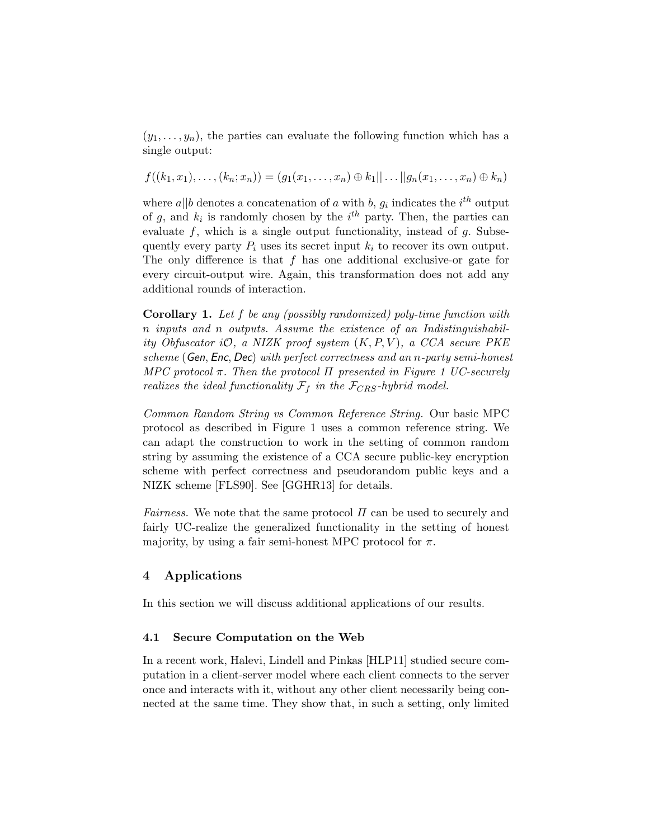$(y_1, \ldots, y_n)$ , the parties can evaluate the following function which has a single output:

$$
f((k_1, x_1), \ldots, (k_n; x_n)) = (g_1(x_1, \ldots, x_n) \oplus k_1 || \ldots || g_n(x_1, \ldots, x_n) \oplus k_n)
$$

where  $a||b$  denotes a concatenation of a with b,  $g_i$  indicates the  $i^{th}$  output of g, and  $k_i$  is randomly chosen by the  $i^{th}$  party. Then, the parties can evaluate  $f$ , which is a single output functionality, instead of  $g$ . Subsequently every party  $P_i$  uses its secret input  $k_i$  to recover its own output. The only difference is that  $f$  has one additional exclusive-or gate for every circuit-output wire. Again, this transformation does not add any additional rounds of interaction.

Corollary 1. Let f be any (possibly randomized) poly-time function with n inputs and n outputs. Assume the existence of an Indistinguishability Obfuscator i $O$ , a NIZK proof system  $(K, P, V)$ , a CCA secure PKE scheme (Gen, Enc, Dec) with perfect correctness and an n-party semi-honest MPC protocol  $\pi$ . Then the protocol  $\Pi$  presented in Figure 1 UC-securely realizes the ideal functionality  $\mathcal{F}_f$  in the  $\mathcal{F}_{CRS}$ -hybrid model.

Common Random String vs Common Reference String. Our basic MPC protocol as described in Figure 1 uses a common reference string. We can adapt the construction to work in the setting of common random string by assuming the existence of a CCA secure public-key encryption scheme with perfect correctness and pseudorandom public keys and a NIZK scheme [FLS90]. See [GGHR13] for details.

Fairness. We note that the same protocol  $\Pi$  can be used to securely and fairly UC-realize the generalized functionality in the setting of honest majority, by using a fair semi-honest MPC protocol for  $\pi$ .

# 4 Applications

In this section we will discuss additional applications of our results.

# 4.1 Secure Computation on the Web

In a recent work, Halevi, Lindell and Pinkas [HLP11] studied secure computation in a client-server model where each client connects to the server once and interacts with it, without any other client necessarily being connected at the same time. They show that, in such a setting, only limited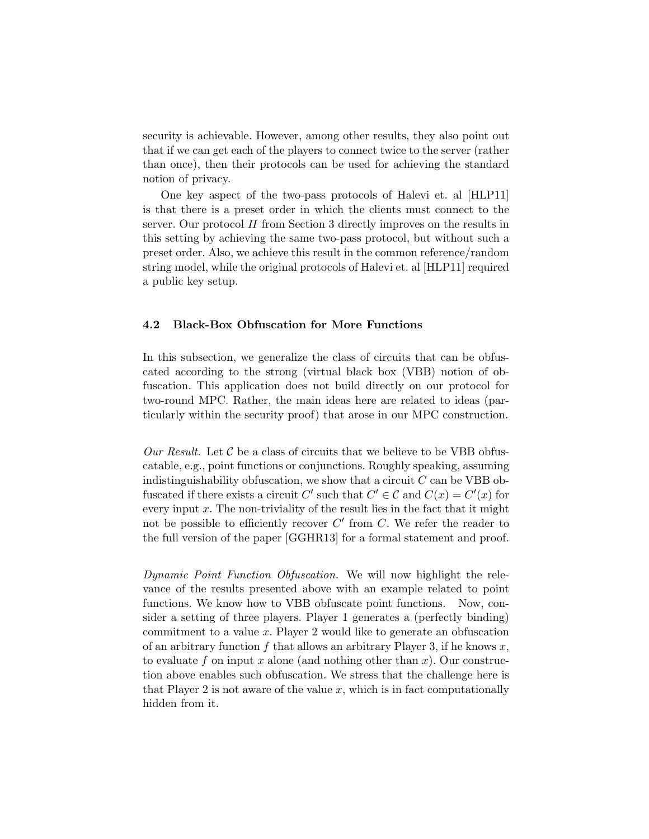security is achievable. However, among other results, they also point out that if we can get each of the players to connect twice to the server (rather than once), then their protocols can be used for achieving the standard notion of privacy.

One key aspect of the two-pass protocols of Halevi et. al [HLP11] is that there is a preset order in which the clients must connect to the server. Our protocol  $\Pi$  from Section 3 directly improves on the results in this setting by achieving the same two-pass protocol, but without such a preset order. Also, we achieve this result in the common reference/random string model, while the original protocols of Halevi et. al [HLP11] required a public key setup.

### 4.2 Black-Box Obfuscation for More Functions

In this subsection, we generalize the class of circuits that can be obfuscated according to the strong (virtual black box (VBB) notion of obfuscation. This application does not build directly on our protocol for two-round MPC. Rather, the main ideas here are related to ideas (particularly within the security proof) that arose in our MPC construction.

Our Result. Let  $\mathcal C$  be a class of circuits that we believe to be VBB obfuscatable, e.g., point functions or conjunctions. Roughly speaking, assuming indistinguishability obfuscation, we show that a circuit  $C$  can be VBB obfuscated if there exists a circuit C' such that  $C' \in \mathcal{C}$  and  $C(x) = C'(x)$  for every input  $x$ . The non-triviality of the result lies in the fact that it might not be possible to efficiently recover  $C'$  from  $C$ . We refer the reader to the full version of the paper [GGHR13] for a formal statement and proof.

Dynamic Point Function Obfuscation. We will now highlight the relevance of the results presented above with an example related to point functions. We know how to VBB obfuscate point functions. Now, consider a setting of three players. Player 1 generates a (perfectly binding) commitment to a value x. Player 2 would like to generate an obfuscation of an arbitrary function f that allows an arbitrary Player 3, if he knows  $x$ , to evaluate f on input x alone (and nothing other than x). Our construction above enables such obfuscation. We stress that the challenge here is that Player 2 is not aware of the value  $x$ , which is in fact computationally hidden from it.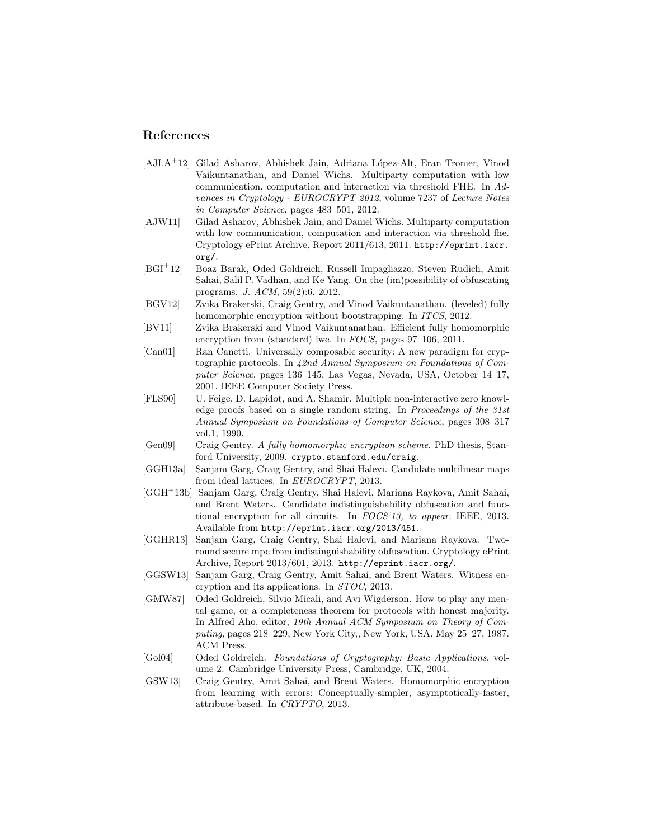## References

- [AJLA<sup>+</sup>12] Gilad Asharov, Abhishek Jain, Adriana López-Alt, Eran Tromer, Vinod Vaikuntanathan, and Daniel Wichs. Multiparty computation with low communication, computation and interaction via threshold FHE. In Advances in Cryptology - EUROCRYPT 2012, volume 7237 of Lecture Notes in Computer Science, pages 483–501, 2012.
- [AJW11] Gilad Asharov, Abhishek Jain, and Daniel Wichs. Multiparty computation with low communication, computation and interaction via threshold fhe. Cryptology ePrint Archive, Report 2011/613, 2011. http://eprint.iacr. org/.
- [BGI<sup>+</sup>12] Boaz Barak, Oded Goldreich, Russell Impagliazzo, Steven Rudich, Amit Sahai, Salil P. Vadhan, and Ke Yang. On the (im)possibility of obfuscating programs. J. ACM, 59(2):6, 2012.
- [BGV12] Zvika Brakerski, Craig Gentry, and Vinod Vaikuntanathan. (leveled) fully homomorphic encryption without bootstrapping. In *ITCS*, 2012.
- [BV11] Zvika Brakerski and Vinod Vaikuntanathan. Efficient fully homomorphic encryption from (standard) lwe. In FOCS, pages 97–106, 2011.
- [Can01] Ran Canetti. Universally composable security: A new paradigm for cryptographic protocols. In 42nd Annual Symposium on Foundations of Computer Science, pages 136–145, Las Vegas, Nevada, USA, October 14–17, 2001. IEEE Computer Society Press.
- [FLS90] U. Feige, D. Lapidot, and A. Shamir. Multiple non-interactive zero knowledge proofs based on a single random string. In Proceedings of the 31st Annual Symposium on Foundations of Computer Science, pages 308–317 vol.1, 1990.
- [Gen09] Craig Gentry. A fully homomorphic encryption scheme. PhD thesis, Stanford University, 2009. crypto.stanford.edu/craig.
- [GGH13a] Sanjam Garg, Craig Gentry, and Shai Halevi. Candidate multilinear maps from ideal lattices. In EUROCRYPT, 2013.
- [GGH<sup>+</sup>13b] Sanjam Garg, Craig Gentry, Shai Halevi, Mariana Raykova, Amit Sahai, and Brent Waters. Candidate indistinguishability obfuscation and functional encryption for all circuits. In FOCS'13, to appear. IEEE, 2013. Available from http://eprint.iacr.org/2013/451.
- [GGHR13] Sanjam Garg, Craig Gentry, Shai Halevi, and Mariana Raykova. Tworound secure mpc from indistinguishability obfuscation. Cryptology ePrint Archive, Report 2013/601, 2013. http://eprint.iacr.org/.
- [GGSW13] Sanjam Garg, Craig Gentry, Amit Sahai, and Brent Waters. Witness encryption and its applications. In STOC, 2013.
- [GMW87] Oded Goldreich, Silvio Micali, and Avi Wigderson. How to play any mental game, or a completeness theorem for protocols with honest majority. In Alfred Aho, editor, 19th Annual ACM Symposium on Theory of Computing, pages 218–229, New York City,, New York, USA, May 25–27, 1987. ACM Press.
- [Gol04] Oded Goldreich. Foundations of Cryptography: Basic Applications, volume 2. Cambridge University Press, Cambridge, UK, 2004.
- [GSW13] Craig Gentry, Amit Sahai, and Brent Waters. Homomorphic encryption from learning with errors: Conceptually-simpler, asymptotically-faster, attribute-based. In CRYPTO, 2013.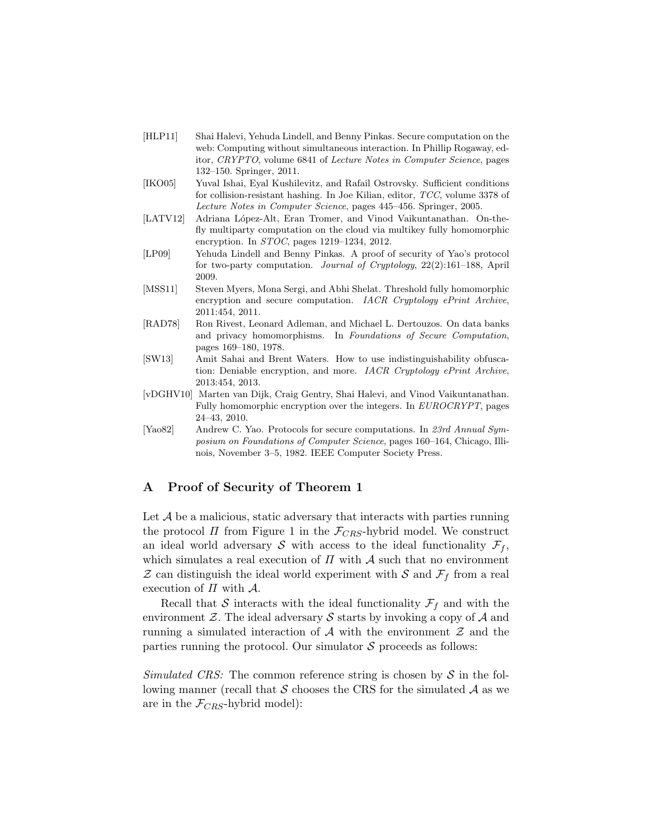- [HLP11] Shai Halevi, Yehuda Lindell, and Benny Pinkas. Secure computation on the web: Computing without simultaneous interaction. In Phillip Rogaway, editor, CRYPTO, volume 6841 of Lecture Notes in Computer Science, pages 132–150. Springer, 2011.
- [IKO05] Yuval Ishai, Eyal Kushilevitz, and Rafail Ostrovsky. Sufficient conditions for collision-resistant hashing. In Joe Kilian, editor, TCC, volume 3378 of Lecture Notes in Computer Science, pages 445–456. Springer, 2005.
- [LATV12] Adriana López-Alt, Eran Tromer, and Vinod Vaikuntanathan. On-thefly multiparty computation on the cloud via multikey fully homomorphic encryption. In STOC, pages 1219–1234, 2012.
- [LP09] Yehuda Lindell and Benny Pinkas. A proof of security of Yao's protocol for two-party computation. Journal of Cryptology, 22(2):161–188, April 2009.
- [MSS11] Steven Myers, Mona Sergi, and Abhi Shelat. Threshold fully homomorphic encryption and secure computation. IACR Cryptology ePrint Archive, 2011:454, 2011.
- [RAD78] Ron Rivest, Leonard Adleman, and Michael L. Dertouzos. On data banks and privacy homomorphisms. In Foundations of Secure Computation, pages 169–180, 1978.
- [SW13] Amit Sahai and Brent Waters. How to use indistinguishability obfuscation: Deniable encryption, and more. IACR Cryptology ePrint Archive, 2013:454, 2013.
- [vDGHV10] Marten van Dijk, Craig Gentry, Shai Halevi, and Vinod Vaikuntanathan. Fully homomorphic encryption over the integers. In EUROCRYPT, pages 24–43, 2010.
- [Yao82] Andrew C. Yao. Protocols for secure computations. In 23rd Annual Symposium on Foundations of Computer Science, pages 160–164, Chicago, Illinois, November 3–5, 1982. IEEE Computer Society Press.

# A Proof of Security of Theorem 1

Let  $\mathcal A$  be a malicious, static adversary that interacts with parties running the protocol  $\Pi$  from Figure 1 in the  $\mathcal{F}_{CRS}$ -hybrid model. We construct an ideal world adversary S with access to the ideal functionality  $\mathcal{F}_f$ , which simulates a real execution of  $\Pi$  with  $A$  such that no environment  $Z$  can distinguish the ideal world experiment with S and  $\mathcal{F}_f$  from a real execution of  $\Pi$  with  $\mathcal{A}$ .

Recall that S interacts with the ideal functionality  $\mathcal{F}_f$  and with the environment  $\mathcal{Z}$ . The ideal adversary  $\mathcal{S}$  starts by invoking a copy of  $\mathcal{A}$  and running a simulated interaction of  $\mathcal A$  with the environment  $\mathcal Z$  and the parties running the protocol. Our simulator  $S$  proceeds as follows:

Simulated CRS: The common reference string is chosen by  $S$  in the following manner (recall that  $\mathcal S$  chooses the CRS for the simulated  $\mathcal A$  as we are in the  $\mathcal{F}_{CRS}$ -hybrid model):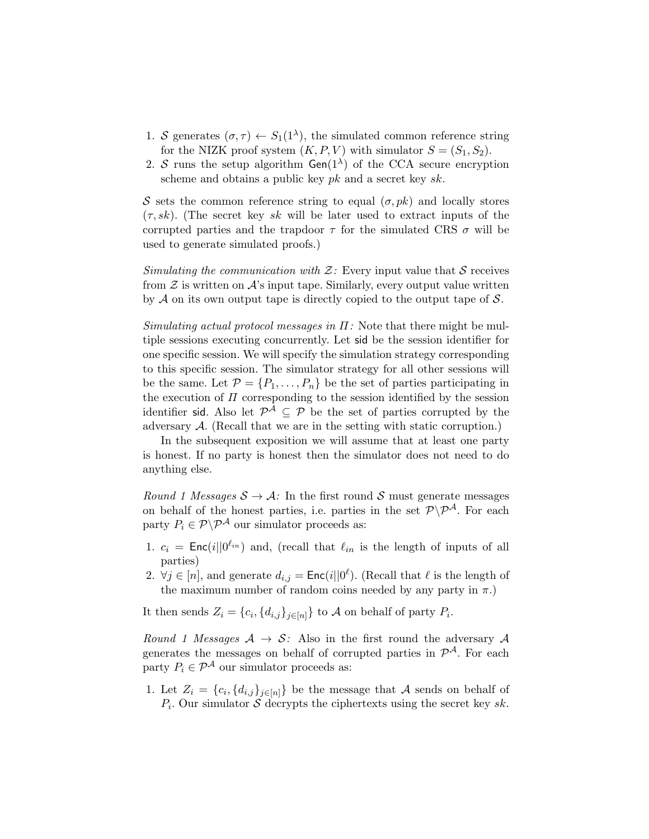- 1. S generates  $(\sigma, \tau) \leftarrow S_1(1^{\lambda})$ , the simulated common reference string for the NIZK proof system  $(K, P, V)$  with simulator  $S = (S_1, S_2)$ .
- 2. S runs the setup algorithm  $Gen(1^{\lambda})$  of the CCA secure encryption scheme and obtains a public key pk and a secret key sk.

S sets the common reference string to equal  $(\sigma, pk)$  and locally stores  $(\tau, sk)$ . (The secret key sk will be later used to extract inputs of the corrupted parties and the trapdoor  $\tau$  for the simulated CRS  $\sigma$  will be used to generate simulated proofs.)

Simulating the communication with  $\mathcal{Z}$ : Every input value that  $\mathcal{S}$  receives from  $\mathcal Z$  is written on  $\mathcal A$ 's input tape. Similarly, every output value written by A on its own output tape is directly copied to the output tape of  $S$ .

Simulating actual protocol messages in  $\Pi$ : Note that there might be multiple sessions executing concurrently. Let sid be the session identifier for one specific session. We will specify the simulation strategy corresponding to this specific session. The simulator strategy for all other sessions will be the same. Let  $\mathcal{P} = \{P_1, \ldots, P_n\}$  be the set of parties participating in the execution of  $\Pi$  corresponding to the session identified by the session identifier sid. Also let  $\mathcal{P}^{\mathcal{A}} \subseteq \mathcal{P}$  be the set of parties corrupted by the adversary A. (Recall that we are in the setting with static corruption.)

In the subsequent exposition we will assume that at least one party is honest. If no party is honest then the simulator does not need to do anything else.

Round 1 Messages  $S \to A$ : In the first round S must generate messages on behalf of the honest parties, i.e. parties in the set  $\mathcal{P}\backslash\mathcal{P}^{\mathcal{A}}$ . For each party  $P_i \in \mathcal{P} \backslash \mathcal{P}^{\mathcal{A}}$  our simulator proceeds as:

- 1.  $c_i = \text{Enc}(i||0^{\ell_{in}})$  and, (recall that  $\ell_{in}$  is the length of inputs of all parties)
- 2.  $\forall j \in [n]$ , and generate  $d_{i,j} = \text{Enc}(i||0^{\ell})$ . (Recall that  $\ell$  is the length of the maximum number of random coins needed by any party in  $\pi$ .)

It then sends  $Z_i = \{c_i, \{d_{i,j}\}_{j \in [n]}\}\$  to A on behalf of party  $P_i$ .

Round 1 Messages  $A \rightarrow S$ : Also in the first round the adversary A generates the messages on behalf of corrupted parties in  $\mathcal{P}^{\mathcal{A}}$ . For each party  $P_i \in \mathcal{P}^{\mathcal{A}}$  our simulator proceeds as:

1. Let  $Z_i = \{c_i, \{d_{i,j}\}_{j \in [n]}\}\$ be the message that A sends on behalf of  $P_i$ . Our simulator S decrypts the ciphertexts using the secret key sk.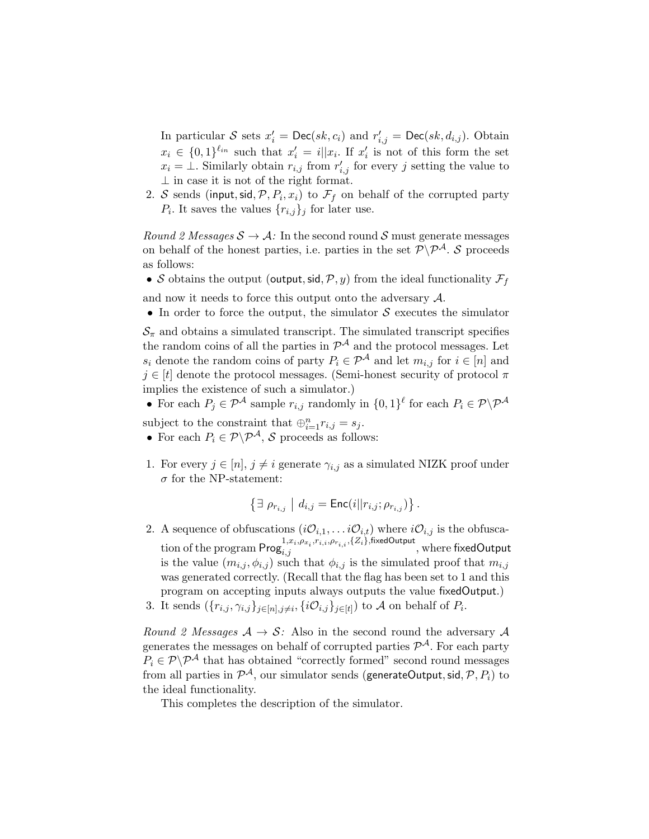In particular S sets  $x'_i = \text{Dec}(sk, c_i)$  and  $r'_{i,j} = \text{Dec}(sk, d_{i,j})$ . Obtain  $x_i \in \{0,1\}^{\ell_{in}}$  such that  $x_i' = i||x_i$ . If  $x_i'$  is not of this form the set  $x_i = \perp$ . Similarly obtain  $r_{i,j}$  from  $r'_{i,j}$  for every j setting the value to  $\perp$  in case it is not of the right format.

2. S sends (input, sid,  $\mathcal{P}, P_i, x_i$ ) to  $\mathcal{F}_f$  on behalf of the corrupted party  $P_i$ . It saves the values  $\{r_{i,j}\}_j$  for later use.

Round 2 Messages  $S \to A$ : In the second round S must generate messages on behalf of the honest parties, i.e. parties in the set  $\mathcal{P}\backslash\mathcal{P}^{\mathcal{A}}$ . S proceeds as follows:

• S obtains the output (output, sid, P, y) from the ideal functionality  $\mathcal{F}_f$ 

and now it needs to force this output onto the adversary A.

• In order to force the output, the simulator  $\mathcal S$  executes the simulator

 $\mathcal{S}_{\pi}$  and obtains a simulated transcript. The simulated transcript specifies the random coins of all the parties in  $\mathcal{P}^{\mathcal{A}}$  and the protocol messages. Let  $s_i$  denote the random coins of party  $P_i \in \mathcal{P}^{\mathcal{A}}$  and let  $m_{i,j}$  for  $i \in [n]$  and  $j \in [t]$  denote the protocol messages. (Semi-honest security of protocol  $\pi$ implies the existence of such a simulator.)

• For each  $P_j \in \mathcal{P}^{\mathcal{A}}$  sample  $r_{i,j}$  randomly in  $\{0,1\}^{\ell}$  for each  $P_i \in \mathcal{P} \backslash \mathcal{P}^{\mathcal{A}}$ 

subject to the constraint that  $\bigoplus_{i=1}^{n} r_{i,j} = s_j$ .

- For each  $P_i \in \mathcal{P} \backslash \mathcal{P}^{\mathcal{A}},$  S proceeds as follows:
- 1. For every  $j \in [n], j \neq i$  generate  $\gamma_{i,j}$  as a simulated NIZK proof under  $\sigma$  for the NP-statement:

$$
\left\{\exists \; \rho_{r_{i,j}} \; \middle| \; d_{i,j} = \mathsf{Enc}(i||r_{i,j}; \rho_{r_{i,j}}) \right\}.
$$

- 2. A sequence of obfuscations  $(i\mathcal{O}_{i,1}, \ldots i\mathcal{O}_{i,t})$  where  $i\mathcal{O}_{i,j}$  is the obfuscation of the program  $\mathsf{Prog}_{i,j}^{1,x_i,\rho_{x_i},r_{i,i},\rho_{r_{i,i}},\{Z_i\},\text{fixedOutput}},$  where fixedOutput is the value  $(m_{i,j}, \phi_{i,j})$  such that  $\phi_{i,j}$  is the simulated proof that  $m_{i,j}$ was generated correctly. (Recall that the flag has been set to 1 and this program on accepting inputs always outputs the value fixedOutput.)
- 3. It sends  $(\{r_{i,j}, \gamma_{i,j}\}_{j\in[n],j\neq i}, \{i\mathcal{O}_{i,j}\}_{j\in[t]})$  to A on behalf of  $P_i$ .

Round 2 Messages  $A \rightarrow S$ : Also in the second round the adversary A generates the messages on behalf of corrupted parties  $\mathcal{P}^{\mathcal{A}}$ . For each party  $P_i \in \mathcal{P} \backslash \mathcal{P}^{\mathcal{A}}$  that has obtained "correctly formed" second round messages from all parties in  $\mathcal{P}^\mathcal{A},$  our simulator sends (generateOutput, sid,  $\mathcal{P}, P_i)$  to the ideal functionality.

This completes the description of the simulator.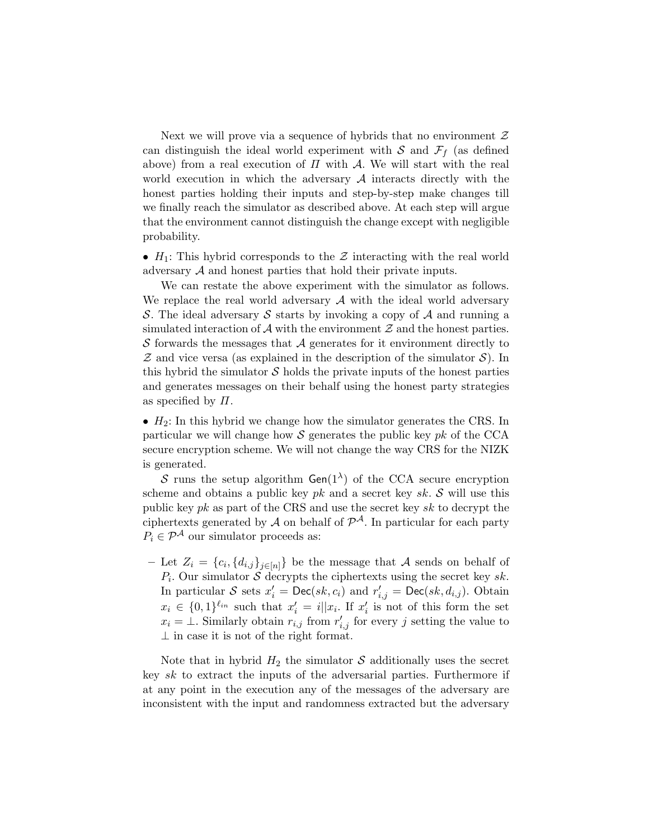Next we will prove via a sequence of hybrids that no environment  $\mathcal Z$ can distinguish the ideal world experiment with  $S$  and  $\mathcal{F}_f$  (as defined above) from a real execution of  $\Pi$  with  $\mathcal{A}$ . We will start with the real world execution in which the adversary  $A$  interacts directly with the honest parties holding their inputs and step-by-step make changes till we finally reach the simulator as described above. At each step will argue that the environment cannot distinguish the change except with negligible probability.

•  $H_1$ : This hybrid corresponds to the  $\mathcal Z$  interacting with the real world adversary  $A$  and honest parties that hold their private inputs.

We can restate the above experiment with the simulator as follows. We replace the real world adversary  $A$  with the ideal world adversary S. The ideal adversary S starts by invoking a copy of  $A$  and running a simulated interaction of  $\mathcal A$  with the environment  $\mathcal Z$  and the honest parties.  $S$  forwards the messages that  $A$  generates for it environment directly to  $Z$  and vice versa (as explained in the description of the simulator  $S$ ). In this hybrid the simulator  $S$  holds the private inputs of the honest parties and generates messages on their behalf using the honest party strategies as specified by  $\Pi$ .

•  $H_2$ : In this hybrid we change how the simulator generates the CRS. In particular we will change how  $\mathcal S$  generates the public key pk of the CCA secure encryption scheme. We will not change the way CRS for the NIZK is generated.

S runs the setup algorithm  $Gen(1^{\lambda})$  of the CCA secure encryption scheme and obtains a public key  $pk$  and a secret key  $sk$ . S will use this public key pk as part of the CRS and use the secret key sk to decrypt the ciphertexts generated by  $\mathcal A$  on behalf of  $\mathcal P^{\mathcal A}$ . In particular for each party  $P_i \in \mathcal{P}^{\mathcal{A}}$  our simulator proceeds as:

– Let  $Z_i = \{c_i, \{d_{i,j}\}_{j \in [n]}\}\$ be the message that A sends on behalf of  $P_i$ . Our simulator S decrypts the ciphertexts using the secret key sk. In particular S sets  $x'_i = \textsf{Dec}(sk, c_i)$  and  $r'_{i,j} = \textsf{Dec}(sk, d_{i,j})$ . Obtain  $x_i \in \{0,1\}^{\ell_{in}}$  such that  $x_i' = i||x_i$ . If  $x_i'$  is not of this form the set  $x_i = \perp$ . Similarly obtain  $r_{i,j}$  from  $r'_{i,j}$  for every j setting the value to  $\perp$  in case it is not of the right format.

Note that in hybrid  $H_2$  the simulator S additionally uses the secret key sk to extract the inputs of the adversarial parties. Furthermore if at any point in the execution any of the messages of the adversary are inconsistent with the input and randomness extracted but the adversary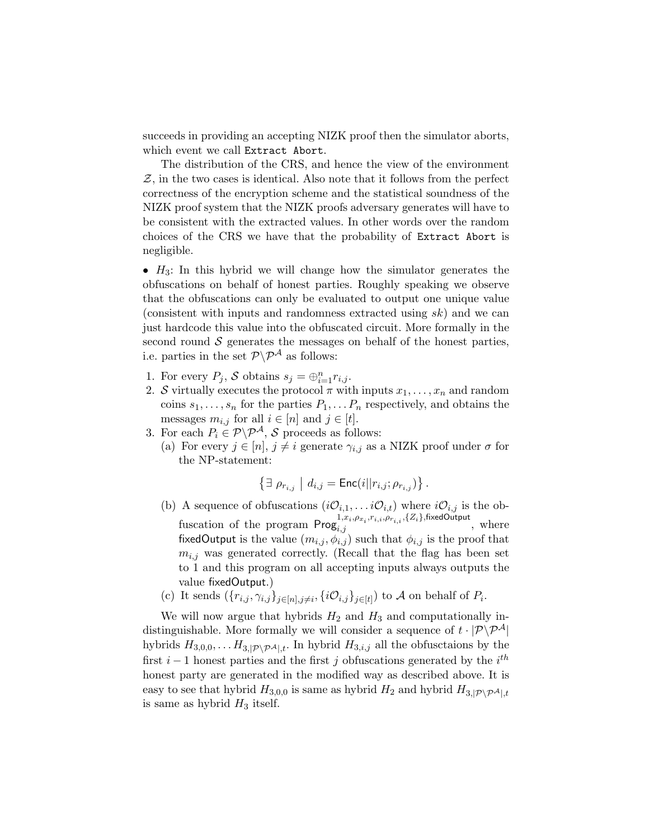succeeds in providing an accepting NIZK proof then the simulator aborts, which event we call Extract Abort.

The distribution of the CRS, and hence the view of the environment  $Z$ , in the two cases is identical. Also note that it follows from the perfect correctness of the encryption scheme and the statistical soundness of the NIZK proof system that the NIZK proofs adversary generates will have to be consistent with the extracted values. In other words over the random choices of the CRS we have that the probability of Extract Abort is negligible.

•  $H_3$ : In this hybrid we will change how the simulator generates the obfuscations on behalf of honest parties. Roughly speaking we observe that the obfuscations can only be evaluated to output one unique value (consistent with inputs and randomness extracted using  $sk$ ) and we can just hardcode this value into the obfuscated circuit. More formally in the second round  $\mathcal S$  generates the messages on behalf of the honest parties, i.e. parties in the set  $\mathcal{P}\backslash\mathcal{P}^{\mathcal{A}}$  as follows:

- 1. For every  $P_j$ , S obtains  $s_j = \bigoplus_{i=1}^n r_{i,j}$ .
- 2. S virtually executes the protocol  $\pi$  with inputs  $x_1, \ldots, x_n$  and random coins  $s_1, \ldots, s_n$  for the parties  $P_1, \ldots, P_n$  respectively, and obtains the messages  $m_{i,j}$  for all  $i \in [n]$  and  $j \in [t]$ .
- 3. For each  $P_i \in \mathcal{P} \backslash \mathcal{P}^{\mathcal{A}},$  S proceeds as follows:
	- (a) For every  $j \in [n], j \neq i$  generate  $\gamma_{i,j}$  as a NIZK proof under  $\sigma$  for the NP-statement:

$$
\left\{\exists \rho_{r_{i,j}} \mid d_{i,j} = \mathsf{Enc}(i||r_{i,j}; \rho_{r_{i,j}})\right\}.
$$

- (b) A sequence of obfuscations  $(i\mathcal{O}_{i,1}, \ldots i\mathcal{O}_{i,t})$  where  $i\mathcal{O}_{i,j}$  is the obfuscation of the program  $\text{Prog}_{i,j}^{1,x_i,\rho_{x_i},r_{i,i},\rho_{r_{i,i}},\{Z_i\},\text{fixedOutput}},$  where fixed Output is the value  $(m_{i,j}, \phi_{i,j})$  such that  $\phi_{i,j}$  is the proof that  $m_{i,j}$  was generated correctly. (Recall that the flag has been set to 1 and this program on all accepting inputs always outputs the value fixedOutput.)
- (c) It sends  $({r_{i,j}, \gamma_{i,j}}_{j\in[n],j\neq i}, {i\mathcal{O}_{i,j}}_{j\in[t]})$  to A on behalf of  $P_i$ .

We will now argue that hybrids  $H_2$  and  $H_3$  and computationally indistinguishable. More formally we will consider a sequence of  $t \cdot |\mathcal{P} \backslash \mathcal{P}^{\mathcal{A}}|$ hybrids  $H_{3,0,0}, \ldots, H_{3,|\mathcal{P} \setminus \mathcal{P}^{\mathcal{A}}|,t}$ . In hybrid  $H_{3,i,j}$  all the obfusctaions by the first  $i-1$  honest parties and the first j obfuscations generated by the  $i^{th}$ honest party are generated in the modified way as described above. It is easy to see that hybrid  $H_{3,0,0}$  is same as hybrid  $H_2$  and hybrid  $H_{3,|\mathcal{P}\setminus\mathcal{P}^{\mathcal{A}}|,t}$ is same as hybrid  $H_3$  itself.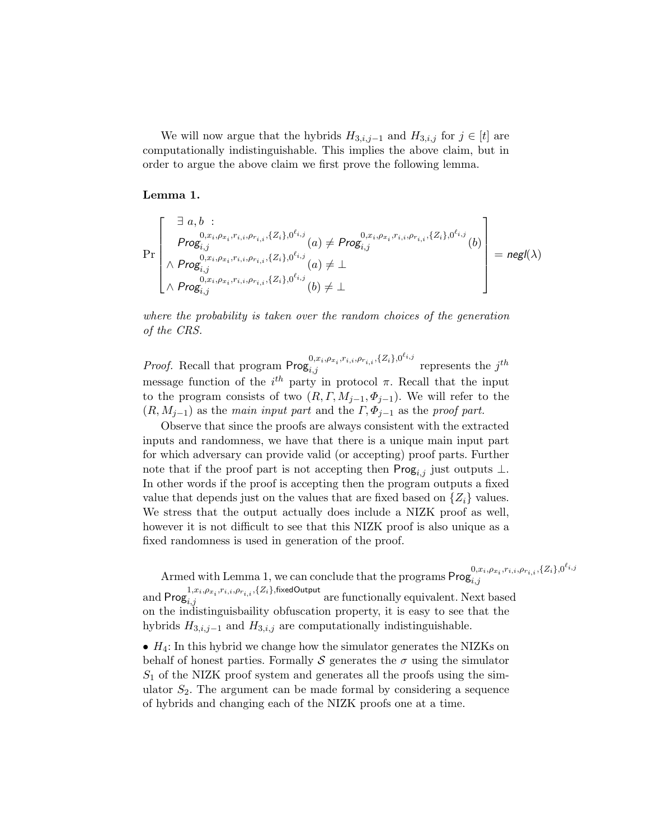We will now argue that the hybrids  $H_{3,i,j-1}$  and  $H_{3,i,j}$  for  $j \in [t]$  are computationally indistinguishable. This implies the above claim, but in order to argue the above claim we first prove the following lemma.

#### Lemma 1.

$$
\Pr\left[\begin{array}{c} \exists\ a,b:\quad\\ \mathsf{Prog}_{i,j}^{0,x_{i},\rho_{x_{i}},r_{i,i},\rho_{r_{i,i}},\{Z_{i}\},0^{\ell_{i,j}}}(a)\neq\mathsf{Prog}_{i,j}^{0,x_{i},\rho_{x_{i}},r_{i,i},\rho_{r_{i,i}},\{Z_{i}\},0^{\ell_{i,j}}}(b)\\ \wedge\;\mathsf{Prog}_{i,j}^{0,x_{i},\rho_{x_{i}},r_{i,i},\rho_{r_{i,i}},\{Z_{i}\},0^{\ell_{i,j}}}(a)\neq\bot\\ \wedge\;\mathsf{Prog}_{i,j}^{0,x_{i},\rho_{x_{i}},r_{i,i},\rho_{r_{i,i}},\{Z_{i}\},0^{\ell_{i,j}}}(b)\neq\bot \end{array}\right]=\mathsf{negl}(\lambda)
$$

where the probability is taken over the random choices of the generation of the CRS.

*Proof.* Recall that program  $\text{Prog}_{i,j}^{0,x_i,\rho_{x_i},r_{i,i},\rho_{r_{i,i}},\{Z_i\},0^{\ell_{i,j}}}$  represents the  $j^{th}$ message function of the  $i^{th}$  party in protocol  $\pi$ . Recall that the input to the program consists of two  $(R, \Gamma, M_{j-1}, \Phi_{j-1})$ . We will refer to the  $(R, M_{j-1})$  as the main input part and the  $\Gamma, \Phi_{j-1}$  as the proof part.

Observe that since the proofs are always consistent with the extracted inputs and randomness, we have that there is a unique main input part for which adversary can provide valid (or accepting) proof parts. Further note that if the proof part is not accepting then  $\text{Prog}_{i,j}$  just outputs  $\perp$ . In other words if the proof is accepting then the program outputs a fixed value that depends just on the values that are fixed based on  $\{Z_i\}$  values. We stress that the output actually does include a NIZK proof as well, however it is not difficult to see that this NIZK proof is also unique as a fixed randomness is used in generation of the proof.

Armed with Lemma 1, we can conclude that the programs  $\mathsf{Prog}_{i,i}^{0,x_i,\rho_{x_i},r_{i,i},\rho_{r_{i,i}}}\{Z_i\},0^{\ell_{i,j}}$  $_{i,j}$ and  $\mathsf{Prog}_{i,j}^{1,x_i,\rho_{x_i},r_{i,i},\rho_{r_{i,i}},\{Z_i\},\text{fixedOutput}}$  are functionally equivalent. Next based on the indistinguisbaility obfuscation property, it is easy to see that the hybrids  $H_{3,i,j-1}$  and  $H_{3,i,j}$  are computationally indistinguishable.

 $\bullet$   $H_4$ : In this hybrid we change how the simulator generates the NIZKs on behalf of honest parties. Formally S generates the  $\sigma$  using the simulator  $S_1$  of the NIZK proof system and generates all the proofs using the simulator  $S_2$ . The argument can be made formal by considering a sequence of hybrids and changing each of the NIZK proofs one at a time.